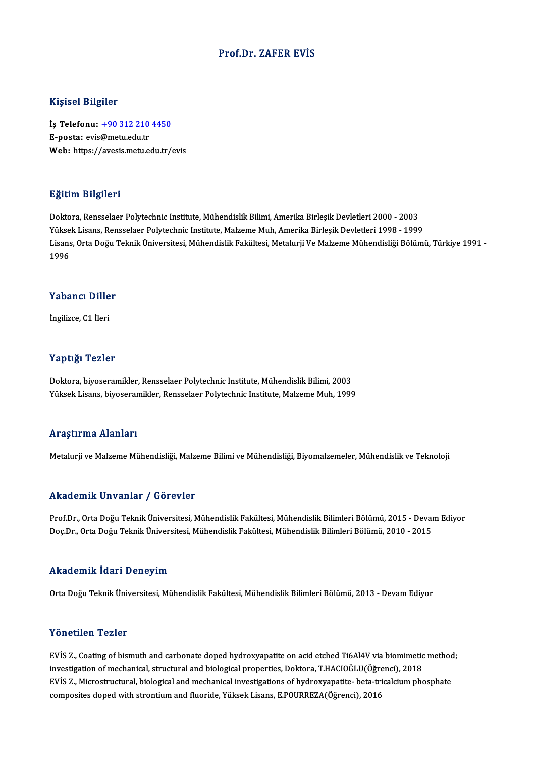#### Prof.Dr. ZAFER EVİS

#### Kişisel Bilgiler

Kişisel Bilgiler<br>İş Telefonu: <u>+90 312 210 4450</u><br>E nosta: evis@mstuedu.tr 11131011<br>Is Telefonu: <u>+90 312 210</u><br>E-posta: evis@metu.edu.tr<br>Web: https://avosis.metu.e E-posta: evis@metu.edu.tr<br>Web: https:/[/avesis.metu.edu.tr/](tel:+90 312 210 4450)evis

#### Eğitim Bilgileri

Doktora, Rensselaer Polytechnic Institute, Mühendislik Bilimi, Amerika Birleşik Devletleri 2000 - 2003 25. sazytan 2 segisori<br>Doktora, Rensselaer Polytechnic Institute, Mühendislik Bilimi, Amerika Birleşik Devletleri 2000 - 2003<br>Yüksek Lisans, Rensselaer Polytechnic Institute, Malzeme Muh, Amerika Birleşik Devletleri 1998 -Lisans, Orta Doğu Teknik Üniversitesi, Mühendislik Fakültesi, Metalurji Ve Malzeme Mühendisliği Bölümü, Türkiye 1991 -<br>1996 Yükse<br>Lisans<br>1996

#### Yabancı Diller

İngilizce,C1 İleri

#### Yaptığı Tezler

Doktora, biyoseramikler, Rensselaer Polytechnic Institute, Mühendislik Bilimi, 2003 Yüksek Lisans, biyoseramikler, Rensselaer Polytechnic Institute, Malzeme Muh, 1999

#### Araştırma Alanları

Metalurji ve Malzeme Mühendisliği, Malzeme Bilimi ve Mühendisliği, Biyomalzemeler, Mühendislik ve Teknoloji

#### Akademik Unvanlar / Görevler

Akademik Unvanlar / Görevler<br>Prof.Dr., Orta Doğu Teknik Üniversitesi, Mühendislik Fakültesi, Mühendislik Bilimleri Bölümü, 2015 - Devam Ediyor<br>Des Dr., Orta Doğu Telmik Üniversitesi, Mühendislik Fakültesi, Mühendislik Bili rrkuu eririk Sirvuririar 7 det evter<br>Prof.Dr., Orta Doğu Teknik Üniversitesi, Mühendislik Fakültesi, Mühendislik Bilimleri Bölümü, 2015 - Devai<br>Doç.Dr., Orta Doğu Teknik Üniversitesi, Mühendislik Fakültesi, Mühendislik Bil Doç.Dr., Orta Doğu Teknik Üniversitesi, Mühendislik Fakültesi, Mühendislik Bilimleri Bölümü, 2010 - 2015<br>Akademik İdari Deneyim

Orta Doğu Teknik Üniversitesi, Mühendislik Fakültesi, Mühendislik Bilimleri Bölümü, 2013 - Devam Ediyor

#### Yönetilen Tezler

**Yönetilen Tezler**<br>EVİS Z., Coating of bismuth and carbonate doped hydroxyapatite on acid etched Ti6Al4V via biomimetic method;<br>investigation of mechanical structural and biological proporties. Deltare THACIOČLU(Öğrensi), investigation in varias<br>EVİS Z., Coating of bismuth and carbonate doped hydroxyapatite on acid etched Ti6Al4V via biomimetic<br>investigation of mechanical, structural and biological properties, Doktora, T.HACIOĞLU(Öğrenci), investigation of mechanical, structural and biological properties, Doktora, T.HACIOĞLU(Öğrenci), 2018<br>EVİS Z., Microstructural, biological and mechanical investigations of hydroxyapatite- beta-tricalcium phosphate composites doped with strontium and fluoride, Yüksek Lisans, E.POURREZA(Öğrenci), 2016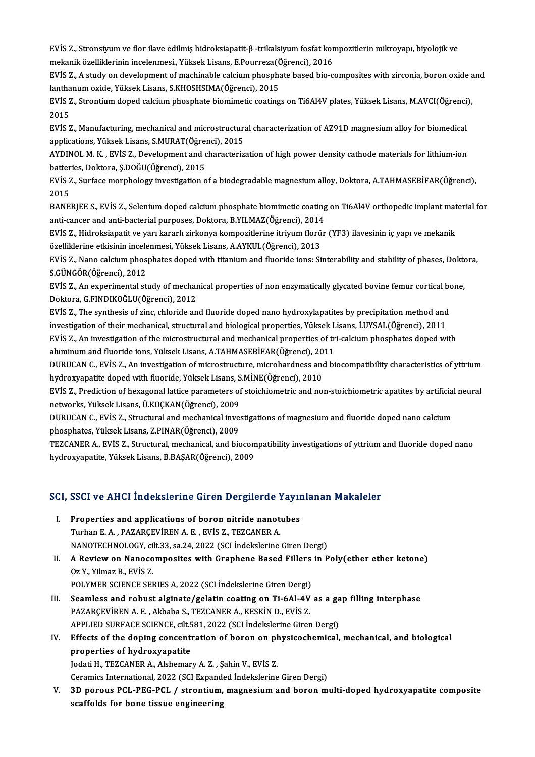EVİS Z., Stronsiyum ve flor ilave edilmiş hidroksiapatit-β -trikalsiyum fosfat kompozitlerin mikroyapı, biyolojik ve<br>mekanik özelliklerinin inselenmesi, Vülsek Lisens, E Bourrege (Öğrensi), 2016 EVİS Z., Stronsiyum ve flor ilave edilmiş hidroksiapatit-β -trikalsiyum fosfat kor<br>mekanik özelliklerinin incelenmesi., Yüksek Lisans, E.Pourreza(Öğrenci), 2016<br>EVİS Z. A study on develenment of mashinable salsiyım phesph EVİS Z., Stronsiyum ve flor ilave edilmiş hidroksiapatit-β -trikalsiyum fosfat kompozitlerin mikroyapı, biyolojik ve<br>mekanik özelliklerinin incelenmesi., Yüksek Lisans, E.Pourreza(Öğrenci), 2016<br>EVİS Z., A study on develo

mekanik özelliklerinin incelenmesi., Yüksek Lisans, E.Pourreza(Öğrenci), 2016<br>EVİS Z., A study on development of machinable calcium phosphate based bio-composites with zirconia, boron oxide and EVİS Z., A study on development of machinable calcium phosphate based bio-composites with zirconia, boron oxide a<br>lanthanum oxide, Yüksek Lisans, S.KHOSHSIMA(Öğrenci), 2015<br>EVİS Z., Strontium doped calcium phosphate biomim

lanthanum oxide, Yüksek Lisans, S.KHOSHSIMA(Öğrenci), 2015<br>EVİS Z., Strontium doped calcium phosphate biomimetic coating<br>2015 EVİS Z., Strontium doped calcium phosphate biomimetic coatings on Ti6Al4V plates, Yüksek Lisans, M.AVCI(Öğrenci<br>2015<br>EVİS Z., Manufacturing, mechanical and microstructural characterization of AZ91D magnesium alloy for biom

EVIS Z., Manufacturing, mechanical and microstructural characterization of AZ91D magnesium alloy for biomedical<br>applications, Yüksek Lisans, S.MURAT(Öğrenci), 2015 EVİS Z., Manufacturing, mechanical and microstructural characterization of AZ91D magnesium alloy for biomedical<br>applications, Yüksek Lisans, S.MURAT(Öğrenci), 2015<br>AYDINOL M. K. , EVİS Z., Development and characterization

applications, Yüksek Lisans, S.MURAT(Öğren<br>AYDINOL M. K. , EVİS Z., Development and c<br>batteries, Doktora, Ş.DOĞU(Öğrenci), 2015<br>EVİS Z. Surface marmhalary investigation a AYDINOL M. K. , EVİS Z., Development and characterization of high power density cathode materials for lithium-ion<br>batteries, Doktora, Ş.DOĞU(Öğrenci), 2015<br>EVİS Z., Surface morphology investigation of a biodegradable magne

**batter<br>EVIS 2<br>2015** BVİS Z., Surface morphology investigation of a biodegradable magnesium alloy, Doktora, A.TAHMASEBİFAR(Öğrenci),<br>2015<br>BANERJEE S., EVİS Z., Selenium doped calcium phosphate biomimetic coating on Ti6Al4V orthopedic implant m

2015<br>BANERJEE S., EVİS Z., Selenium doped calcium phosphate biomimetic coating<br>anti-cancer and anti-bacterial purposes, Doktora, B.YILMAZ(Öğrenci), 2014<br>EVİS Z., Hidreksianetit ve yarı kararlı sirkenye kompositlerine itriu BANERJEE S., EVİS Z., Selenium doped calcium phosphate biomimetic coating on Ti6Al4V orthopedic implant material for<br>anti-cancer and anti-bacterial purposes, Doktora, B.YILMAZ(Öğrenci), 2014<br>EVİS Z., Hidroksiapatit ve yarı

anti-cancer and anti-bacterial purposes, Doktora, B.YILMAZ(Öğrenci), 2014<br>EVİS Z., Hidroksiapatit ve yarı kararlı zirkonya kompozitlerine itriyum florü<br>özelliklerine etkisinin incelenmesi, Yüksek Lisans, A.AYKUL(Öğrenci), özelliklerine etkisinin incelenmesi, Yüksek Lisans, A.AYKUL(Öğrenci), 2013

EVİS Z., Nano calcium phosphates doped with titanium and fluoride ions: Sinterability and stability of phases, Doktora,<br>S.GÜNGÖR(Öğrenci), 2012 EVİS Z., Nano calcium phosphates doped with titanium and fluoride ions: Sinterability and stability of phases, Dokto<br>S.GÜNGÖR(Öğrenci), 2012<br>EVİS Z., An experimental study of mechanical properties of non enzymatically glyc

S.GÜNGÖR(Öğrenci), 2012<br>EVİS Z., An experimental study of mechar<br>Doktora, G.FINDIKOĞLU(Öğrenci), 2012<br>EVİS Z. The synthesis of sins, shlaride an EVİS Z., An experimental study of mechanical properties of non enzymatically glycated bovine femur cortical bo<br>Doktora, G.FINDIKOĞLU(Öğrenci), 2012<br>EVİS Z., The synthesis of zinc, chloride and fluoride doped nano hydroxyla

Doktora, G.FINDIKOĞLU(Öğrenci), 2012<br>EVİS Z., The synthesis of zinc, chloride and fluoride doped nano hydroxylapatites by precipitation method and<br>investigation of their mechanical, structural and biological properties, Yü EVİS Z., The synthesis of zinc, chloride and fluoride doped nano hydroxylapatites by precipitation method and<br>investigation of their mechanical, structural and biological properties, Yüksek Lisans, İ.UYSAL(Öğrenci), 2011<br>E investigation of their mechanical, structural and biological properties, Yüksek L<br>EVİS Z., An investigation of the microstructural and mechanical properties of tr<br>aluminum and fluoride ions, Yüksek Lisans, A.TAHMASEBİFAR(Ö

EVİS Z., An investigation of the microstructural and mechanical properties of tri-calcium phosphates doped with<br>aluminum and fluoride ions, Yüksek Lisans, A.TAHMASEBİFAR(Öğrenci), 2011<br>DURUCAN C., EVİS Z., An investigation aluminum and fluoride ions, Yüksek Lisans, A.TAHMASEBİFAR(Öğrenci), 2011<br>DURUCAN C., EVİS Z., An investigation of microstructure, microhardness and biocompatibility characteristics of yttrium<br>hydroxyapatite doped with fluo DURUCAN C., EVIS Z., An investigation of microstructure, microhardness and biocompatibility characteristics of yttrium

networks,YüksekLisans,Ü.KOÇKAN(Öğrenci),2009 EVİS Z., Prediction of hexagonal lattice parameters of stoichiometric and non-stoichiometric apatites by artificial<br>networks, Yüksek Lisans, Ü.KOÇKAN(Öğrenci), 2009<br>DURUCAN C., EVİS Z., Structural and mechanical investigat

networks, Yüksek Lisans, Ü.KOÇKAN(Öğrenci), 2009<br>DURUCAN C., EVİS Z., Structural and mechanical inver<br>phosphates, Yüksek Lisans, Z.PINAR(Öğrenci), 2009<br>TEZCANER A., EVİS Z., Structural mechanical and bic DURUCAN C., EVİS Z., Structural and mechanical investigations of magnesium and fluoride doped nano calcium<br>phosphates, Yüksek Lisans, Z.PINAR(Öğrenci), 2009<br>TEZCANER A., EVİS Z., Structural, mechanical, and biocompatibilit

phosphates, Yüksek Lisans, Z.PINAR(Öğrenci), 2009<br>TEZCANER A., EVİS Z., Structural, mechanical, and biocompatibility investigations of yttrium and fluoride doped nano<br>hydroxyapatite, Yüksek Lisans, B.BAŞAR(Öğrenci), 2009

# nyaroxyapatte, ruksek Lisans, b.bAşAR(Ogrenci), 2009<br>SCI, SSCI ve AHCI İndekslerine Giren Dergilerde Yayınlanan Makaleler

- CI, SSCI ve AHCI Indekslerine Giren Dergilerde Yayır<br>I. Properties and applications of boron nitride nanotubes<br>Turban E.A., BAZARCEVIREN A.E., EVIS Z., TEZCANER A I. Properties and applications of boron nitride nanotubes<br>Turhan E.A., PAZARÇEVİREN A.E., EVİS Z., TEZCANER A. Properties and applications of boron nitride nanotubes<br>Turhan E. A. , PAZARÇEVİREN A. E. , EVİS Z., TEZCANER A.<br>NANOTECHNOLOGY, cilt.33, sa.24, 2022 (SCI İndekslerine Giren Dergi)<br>A Beview an Nanosemnesites with Granbane B
- II. A Review on Nanocomposites with Graphene Based Fillers in Poly(ether ether ketone)<br>Oz Y., Yilmaz B., EVİS Z. NANOTECHNOLOGY, cil<br>A Review on Nanoco<br>Oz Y., Yilmaz B., EVİS Z.<br>POLYMER SCIENCE SER A Review on Nanocomposites with Graphene Based Fillers<br>Oz Y., Yilmaz B., EVİS Z.<br>POLYMER SCIENCE SERIES A, 2022 (SCI İndekslerine Giren Dergi)<br>Seamless and rabust elsinate (selatin seating an Ti-641 4V

III. Seamless and robust alginate/gelatin coating on Ti-6Al-4V as a gap filling interphase PAZARCEVIREN A. E., Akbaba S., TEZCANER A., KESKIN D., EVIS Z. POLYMER SCIENCE SERIES A, 2022 (SCI İndekslerine Giren Dergi)<br>Seamless and robust alginate/gelatin coating on Ti-6Al-4V<br>PAZARÇEVİREN A. E. , Akbaba S., TEZCANER A., KESKİN D., EVİS Z.<br>APRLIED SUREACE SCIENCE silt 591-2022 Seamless and robust alginate/gelatin coating on Ti-6Al-4V as a gand<br>PAZARÇEVİREN A. E. , Akbaba S., TEZCANER A., KESKİN D., EVİS Z.<br>APPLIED SURFACE SCIENCE, cilt.581, 2022 (SCI İndekslerine Giren Dergi)<br>Effects of the deni PAZARÇEVİREN A. E. , Akbaba S., TEZCANER A., KESKİN D., EVİS Z.<br>APPLIED SURFACE SCIENCE, cilt.581, 2022 (SCI İndekslerine Giren Dergi)<br>IV. Effects of the doping concentration of boron on physicochemical, mechanical, and bi

## APPLIED SURFACE SCIENCE, cilt.5<br>Effects of the doping concent<br>properties of hydroxyapatite<br>Iedati H. TEZCANER A. Alabaman Effects of the doping concentration of boron on ph<br>properties of hydroxyapatite<br>Jodati H., TEZCANER A., Alshemary A. Z. , Şahin V., EVİS Z.<br>Coramics International 2022 (SCL Europded İndelsekine properties of hydroxyapatite<br>Jodati H., TEZCANER A., Alshemary A. Z. , Şahin V., EVİS Z.<br>Ceramics International, 2022 (SCI Expanded İndekslerine Giren Dergi)<br>2D noveus PCL, PEC, PCL, / strentium, magnesium and beren mı

Jodati H., TEZCANER A., Alshemary A. Z. , Şahin V., EVİS Z.<br>Ceramics International, 2022 (SCI Expanded İndekslerine Giren Dergi)<br>V. 3D porous PCL-PEG-PCL / strontium, magnesium and boron multi-doped hydroxyapatite composit Ceramics International, 2022 (SCI Expand<br>3D porous PCL-PEG-PCL / strontium,<br>scaffolds for bone tissue engineering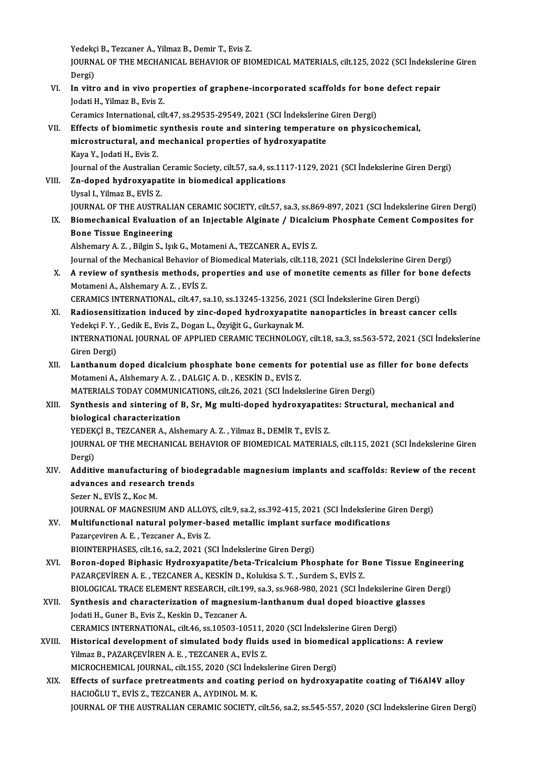Yedekçi B., Tezcaner A., Yilmaz B., Demir T., Evis Z.<br>JOUPNAL OF THE MECHANICAL BEHAVIOR OF BI

JOURNAL OF THE MECHANICAL BEHAVIOR OF BIOMEDICAL MATERIALS, cilt.125, 2022 (SCI İndekslerine Giren<br>Dergi) Yedekç<br>JOURN<br>Dergi)<br>In vitn JOURNAL OF THE MECHANICAL BEHAVIOR OF BIOMEDICAL MATERIALS, cilt.125, 2022 (SCI İndeksler<br>Dergi)<br>VI. In vitro and in vivo properties of graphene-incorporated scaffolds for bone defect repair<br>Jodati H. Vilmar B. Evis 7

Dergi)<br>I<mark>n vitro and in vivo pro</mark><br>Jodati H., Yilmaz B., Evis Z.<br>Coramics International cil In vitro and in vivo properties of graphene-incorporated scaffolds for bon<br>Jodati H., Yilmaz B., Evis Z.<br>Ceramics International, cilt.47, ss.29535-29549, 2021 (SCI İndekslerine Giren Dergi)<br>Effects of biomimatic synthosis

- Jodati H., Yilmaz B., Evis Z.<br>Ceramics International, cilt.47, ss.29535-29549, 2021 (SCI Indekslerine Giren Dergi)<br>VII. Effects of biomimetic synthesis route and sintering temperature on physicochemical,<br>microstructural, a Ceramics International, cilt.47, ss.29535-29549, 2021 (SCI İndekslerine<br>Effects of biomimetic synthesis route and sintering temperatur<br>microstructural, and mechanical properties of hydroxyapatite<br>Kava V. Jodati H. Fyjs 7 Effects of biomimetic<br>microstructural, and <br>Kaya Y., Jodati H., Evis Z.<br>Journal of the Australian microstructural, and mechanical properties of hydroxyapatite<br>Kaya Y., Jodati H., Evis Z.<br>Journal of the Australian Ceramic Society, cilt.57, sa.4, ss.1117-1129, 2021 (SCI İndekslerine Giren Dergi) Kaya Y., Jodati H., Evis Z.<br>Journal of the Australian Ceramic Society, cilt.57, sa.4, ss.111<br>VIII. Zn-doped hydroxyapatite in biomedical applications<br>Urgel L. Vilmar P., Evis 7
- Journal of the Australian<br>Zn-doped hydroxyapat<br>Uysal I., Yilmaz B., EVİS Z.<br>JOUPNAL OF THE AUSTR. Uysal I., Yilmaz B., EVİS Z.<br>JOURNAL OF THE AUSTRALIAN CERAMIC SOCIETY, cilt.57, sa.3, ss.869-897, 2021 (SCI İndekslerine Giren Dergi) Uysal I., Yilmaz B., EVİS Z.<br>JOURNAL OF THE AUSTRALIAN CERAMIC SOCIETY, cilt.57, sa.3, ss.869-897, 2021 (SCI İndekslerine Giren Dergi)<br>IX. Biomechanical Evaluation of an Injectable Alginate / Dicalcium Phosphate Cement
- **JOURNAL OF THE AUSTRALL<br>Biomechanical Evaluation<br>Bone Tissue Engineering<br>Alshamany A. Z., Bilgin S. Jou** Biomechanical Evaluation of an Injectable Alginate / Dicalci<br>Bone Tissue Engineering<br>Alshemary A.Z., Bilgin S., Işık G., Motameni A., TEZCANER A., EVİS Z.<br>Journal of the Mechanical Pehaviar of Biomedical Materials, cilt 11 Bone Tissue Engineering<br>Alshemary A. Z. , Bilgin S., Işık G., Motameni A., TEZCANER A., EVİS Z.<br>Journal of the Mechanical Behavior of Biomedical Materials, cilt.118, 2021 (SCI İndekslerine Giren Dergi)<br>A noviow of synthosi

Alshemary A. Z. , Bilgin S., Işık G., Motameni A., TEZCANER A., EVİS Z.<br>Journal of the Mechanical Behavior of Biomedical Materials, cilt.118, 2021 (SCI İndekslerine Giren Dergi)<br>X. A review of synthesis methods, properties Journal of the Mechanical Behavior of<br>A review of synthesis methods, p<br>Motameni A., Alshemary A. Z. , EVİS Z.<br>CERAMICS INTERNATIONAL, silt 47, se A review of synthesis methods, properties and use of monetite cements as filler for b<br>Motameni A., Alshemary A. Z. , EVİS Z.<br>CERAMICS INTERNATIONAL, cilt.47, sa.10, ss.13245-13256, 2021 (SCI İndekslerine Giren Dergi)<br>Padia

- XI. Radiosensitization induced by zinc-doped hydroxyapatite nanoparticles in breast cancer cells<br>Yedekçi F. Y., Gedik E., Evis Z., Dogan L., Özyiğit G., Gurkaynak M. CERAMICS INTERNATIONAL, cilt.47, sa.10, ss.13245-13256, 2021<br>Radiosensitization induced by zinc-doped hydroxyapatite<br>Yedekçi F. Y. , Gedik E., Evis Z., Dogan L., Özyiğit G., Gurkaynak M.<br>INTERNATIONAL JOURNAL OF ARRUEL CER Radiosensitization induced by zinc-doped hydroxyapatite nanoparticles in breast cancer cells<br>Yedekçi F. Y. , Gedik E., Evis Z., Dogan L., Özyiğit G., Gurkaynak M.<br>INTERNATIONAL JOURNAL OF APPLIED CERAMIC TECHNOLOGY, cilt.1 Yedekçi F. Y.<br>INTERNATIO<br>Giren Dergi)<br>Lanthanum INTERNATIONAL JOURNAL OF APPLIED CERAMIC TECHNOLOGY, cilt.18, sa.3, ss.563-572, 2021 (SCI Indeksler:<br>Giren Dergi)<br>XII. Lanthanum doped dicalcium phosphate bone cements for potential use as filler for bone defects<br>Metameni
- Giren Dergi)<br>Lanthanum doped dicalcium phosphate bone cements fo<br>Motameni A., Alshemary A. Z. , DALGIÇ A. D. , KESKİN D., EVİS Z.<br>MATERIALS TODAY COMMUNICATIONS .silt 26, 2021 (SCLİndak Lanthanum doped dicalcium phosphate bone cements for potential use as<br>Motameni A., Alshemary A. Z. , DALGIÇ A. D. , KESKİN D., EVİS Z.<br>MATERIALS TODAY COMMUNICATIONS, cilt.26, 2021 (SCI İndekslerine Giren Dergi)<br>Synthesis Motameni A., Alshemary A. Z. , DALGIÇ A. D. , KESKİN D., EVİS Z.<br>MATERIALS TODAY COMMUNICATIONS, cilt.26, 2021 (SCI İndekslerine Giren Dergi)<br>XIII. Synthesis and sintering of B, Sr, Mg multi-doped hydroxyapatites: Structur
- biological characterization Synthesis and sintering of B, Sr, Mg multi-doped hydroxyapatit<br>biological characterization<br>YEDEKÇİ B., TEZCANER A., Alshemary A. Z. , Yilmaz B., DEMİR T., EVİS Z.<br>JOUPNAL OF THE MECHANICAL PEHAVIOR OF PIOMEDICAL MATERIAL

JOURNAL OF THE MECHANICAL BEHAVIOR OF BIOMEDICAL MATERIALS, cilt.115, 2021 (SCI İndekslerine Giren<br>Dergi) YEDEK<br>JOURN<br>Dergi)<br>Additiv JOURNAL OF THE MECHANICAL BEHAVIOR OF BIOMEDICAL MATERIALS, cilt.115, 2021 (SCI İndekslerine Giren<br>Dergi)<br>XIV. Additive manufacturing of biodegradable magnesium implants and scaffolds: Review of the recent

Dergi)<br>Additive manufacturing of biod<br>advances and research trends<br>Seger N. Evis 7, Kee M **Additive manufacturi<br>advances and researd<br>Sezer N., EVİS Z., Koc M.<br>JOUPNAL OF MACNESUI** advances and research trends<br>Sezer N., EVİS Z., Koc M.<br>JOURNAL OF MAGNESIUM AND ALLOYS, cilt.9, sa.2, ss.392-415, 2021 (SCI İndekslerine Giren Dergi)

Sezer N., EVİS Z., Koc M.<br>JOURNAL OF MAGNESIUM AND ALLOYS, cilt.9, sa.2, ss.392-415, 2021 (SCI İndekslerine G<br>XV. Multifunctional natural polymer-based metallic implant surface modifications<br>Pagarceviran A. E., Tagarce A. Pazarçeviren A. E., Tezcaner A., Evis Z.<br>BIOINTERPHASES, cilt.16, sa.2, 2021 (SCI İndekslerine Giren Dergi) Multifunctional natural polymer-based metallic implant surf<br>Pazarçeviren A. E. , Tezcaner A., Evis Z.<br>BIOINTERPHASES, cilt.16, sa.2, 2021 (SCI İndekslerine Giren Dergi)<br>Paran danad Binhasis Hydrovyanatita (hata Trisalsium

- XVI. Boron-doped Biphasic Hydroxyapatite/beta-TricalciumPhosphate for Bone Tissue Engineering PAZARÇEVİREN A.E., TEZCANER A., KESKİN D., Kolukisa S. T., Surdem S., EVİS Z. Boron-doped Biphasic Hydroxyapatite/beta-Tricalcium Phosphate for Bone Tissue Engineeri<br>PAZARÇEVİREN A. E. , TEZCANER A., KESKİN D., Kolukisa S. T. , Surdem S., EVİS Z.<br>BIOLOGICAL TRACE ELEMENT RESEARCH, cilt.199, sa.3, ss PAZARÇEVİREN A. E. , TEZCANER A., KESKİN D., Kolukisa S. T. , Surdem S., EVİS Z.<br>BIOLOGICAL TRACE ELEMENT RESEARCH, cilt.199, sa.3, ss.968-980, 2021 (SCI İndekslerine Giren<br>XVII. Synthesis and characterization of magnesium
- BIOLOGICAL TRACE ELEMENT RESEARCH, cilt.19<br>Synthesis and characterization of magnesiu<br>Jodati H., Guner B., Evis Z., Keskin D., Tezcaner A. Synthesis and characterization of magnesium-lanthanum dual doped bioactive g<br>Jodati H., Guner B., Evis Z., Keskin D., Tezcaner A.<br>CERAMICS INTERNATIONAL, cilt.46, ss.10503-10511, 2020 (SCI İndekslerine Giren Dergi)<br>Histori Jodati H., Guner B., Evis Z., Keskin D., Tezcaner A.<br>CERAMICS INTERNATIONAL, cilt.46, ss.10503-10511, 2020 (SCI İndekslerine Giren Dergi)<br>XVIII. Historical development of simulated body fluids used in biomedical applic
- Yilmaz B., PAZARÇEVİREN A. E., TEZCANER A., EVİS Z. Historical development of simulated body fluids used in biomedie<br>Yilmaz B., PAZARÇEVİREN A. E. , TEZCANER A., EVİS Z.<br>MICROCHEMICAL JOURNAL, cilt.155, 2020 (SCI İndekslerine Giren Dergi)<br>Effecte of surface pretreatments an
- XIX. Effects of surface pretreatments and coating period on hydroxyapatite coating of Ti6Al4V alloy<br>HACIOĞLU T., EVİS Z., TEZCANER A., AYDINOL M. K. MICROCHEMICAL JOURNAL, cilt.155, 2020 (SCI İndentification of Surface pretreatments and coating<br>HACIOĞLU T., EVİS Z., TEZCANER A., AYDINOL M. K.<br>JOURNAL OF THE AUSTRALIAN CERAMIC SOCIETY JOURNAL OF THE AUSTRALIAN CERAMIC SOCIETY, cilt.56, sa.2, ss.545-557, 2020 (SCI İndekslerine Giren Dergi)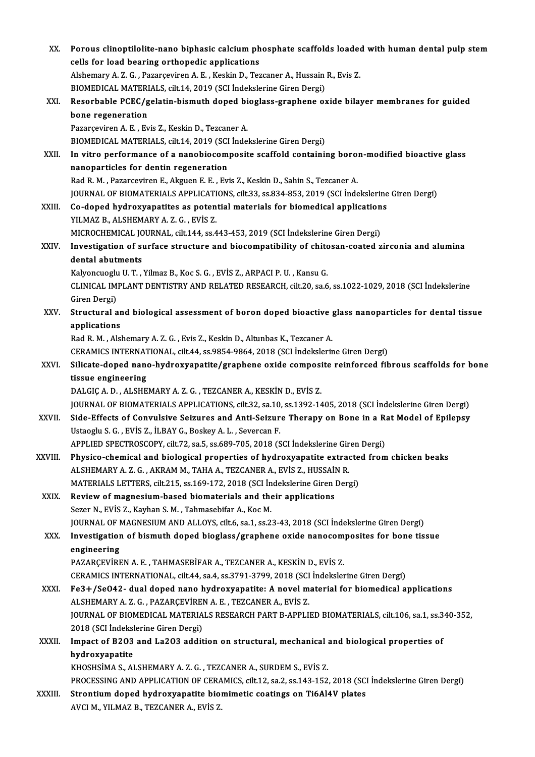| XX.          | Porous clinoptilolite-nano biphasic calcium phosphate scaffolds loaded with human dental pulp stem      |
|--------------|---------------------------------------------------------------------------------------------------------|
|              | cells for load bearing orthopedic applications                                                          |
|              | Alshemary A. Z. G., Pazarçeviren A. E., Keskin D., Tezcaner A., Hussain R., Evis Z.                     |
|              | BIOMEDICAL MATERIALS, cilt.14, 2019 (SCI İndekslerine Giren Dergi)                                      |
| XXI.         | Resorbable PCEC/gelatin-bismuth doped bioglass-graphene oxide bilayer membranes for guided              |
|              | bone regeneration                                                                                       |
|              | Pazarçeviren A. E., Evis Z., Keskin D., Tezcaner A.                                                     |
|              | BIOMEDICAL MATERIALS, cilt.14, 2019 (SCI İndekslerine Giren Dergi)                                      |
| XXII.        | In vitro performance of a nanobiocomposite scaffold containing boron-modified bioactive glass           |
|              | nanoparticles for dentin regeneration                                                                   |
|              | Rad R. M., Pazarceviren E., Akguen E. E., Evis Z., Keskin D., Sahin S., Tezcaner A.                     |
|              | JOURNAL OF BIOMATERIALS APPLICATIONS, cilt.33, ss.834-853, 2019 (SCI İndekslerine Giren Dergi)          |
| XXIII.       | Co-doped hydroxyapatites as potential materials for biomedical applications                             |
|              | YILMAZ B., ALSHEMARY A. Z. G., EVIS Z.                                                                  |
|              | MICROCHEMICAL JOURNAL, cilt.144, ss.443-453, 2019 (SCI İndekslerine Giren Dergi)                        |
| XXIV.        | Investigation of surface structure and biocompatibility of chitosan-coated zirconia and alumina         |
|              | dental abutments                                                                                        |
|              | Kalyoncuoglu U. T., Yilmaz B., Koc S. G., EVİS Z., ARPACI P. U., Kansu G.                               |
|              |                                                                                                         |
|              | CLINICAL IMPLANT DENTISTRY AND RELATED RESEARCH, cilt.20, sa.6, ss.1022-1029, 2018 (SCI Indekslerine    |
|              | Giren Dergi)                                                                                            |
| XXV.         | Structural and biological assessment of boron doped bioactive glass nanoparticles for dental tissue     |
|              | applications                                                                                            |
|              | Rad R. M., Alshemary A. Z. G., Evis Z., Keskin D., Altunbas K., Tezcaner A.                             |
|              | CERAMICS INTERNATIONAL, cilt.44, ss.9854-9864, 2018 (SCI İndekslerine Giren Dergi)                      |
| XXVI.        | Silicate-doped nano-hydroxyapatite/graphene oxide composite reinforced fibrous scaffolds for bone       |
|              | tissue engineering                                                                                      |
|              | DALGIÇ A. D., ALSHEMARY A. Z. G., TEZCANER A., KESKİN D., EVİS Z.                                       |
|              | JOURNAL OF BIOMATERIALS APPLICATIONS, cilt.32, sa.10, ss.1392-1405, 2018 (SCI İndekslerine Giren Dergi) |
| <b>XXVII</b> | Side-Effects of Convulsive Seizures and Anti-Seizure Therapy on Bone in a Rat Model of Epilepsy         |
|              | Ustaoglu S. G., EVIS Z., ILBAY G., Boskey A. L., Severcan F.                                            |
|              | APPLIED SPECTROSCOPY, cilt.72, sa.5, ss.689-705, 2018 (SCI Indekslerine Giren Dergi)                    |
| XXVIII.      | Physico-chemical and biological properties of hydroxyapatite extracted from chicken beaks               |
|              | ALSHEMARY A. Z. G., AKRAM M., TAHA A., TEZCANER A., EVIS Z., HUSSAIN R.                                 |
|              | MATERIALS LETTERS, cilt.215, ss.169-172, 2018 (SCI İndekslerine Giren Dergi)                            |
| XXIX.        | Review of magnesium-based biomaterials and their applications                                           |
|              | Sezer N., EVİS Z., Kayhan S. M., Tahmasebifar A., Koc M.                                                |
|              | JOURNAL OF MAGNESIUM AND ALLOYS, cilt.6, sa.1, ss.23-43, 2018 (SCI İndekslerine Giren Dergi)            |
| XXX.         | Investigation of bismuth doped bioglass/graphene oxide nanocomposites for bone tissue                   |
|              | engineering                                                                                             |
|              | PAZARÇEVİREN A. E., TAHMASEBİFAR A., TEZCANER A., KESKİN D., EVİS Z.                                    |
|              | CERAMICS INTERNATIONAL, cilt.44, sa.4, ss.3791-3799, 2018 (SCI İndekslerine Giren Dergi)                |
| XXXI.        | Fe3+/Se042- dual doped nano hydroxyapatite: A novel material for biomedical applications                |
|              | ALSHEMARY A. Z. G., PAZARÇEVİREN A. E., TEZCANER A., EVİS Z.                                            |
|              | JOURNAL OF BIOMEDICAL MATERIALS RESEARCH PART B-APPLIED BIOMATERIALS, cilt.106, sa.1, ss.340-352,       |
|              | 2018 (SCI İndekslerine Giren Dergi)                                                                     |
| XXXII.       | Impact of B203 and La203 addition on structural, mechanical and biological properties of                |
|              | hydroxyapatite                                                                                          |
|              | KHOSHSİMA S., ALSHEMARY A. Z. G., TEZCANER A., SURDEM S., EVİS Z.                                       |
|              | PROCESSING AND APPLICATION OF CERAMICS, cilt.12, sa.2, ss.143-152, 2018 (SCI Indekslerine Giren Dergi)  |
| XXXIII.      | Strontium doped hydroxyapatite biomimetic coatings on Ti6Al4V plates                                    |
|              | AVCI M., YILMAZ B., TEZCANER A., EVIS Z.                                                                |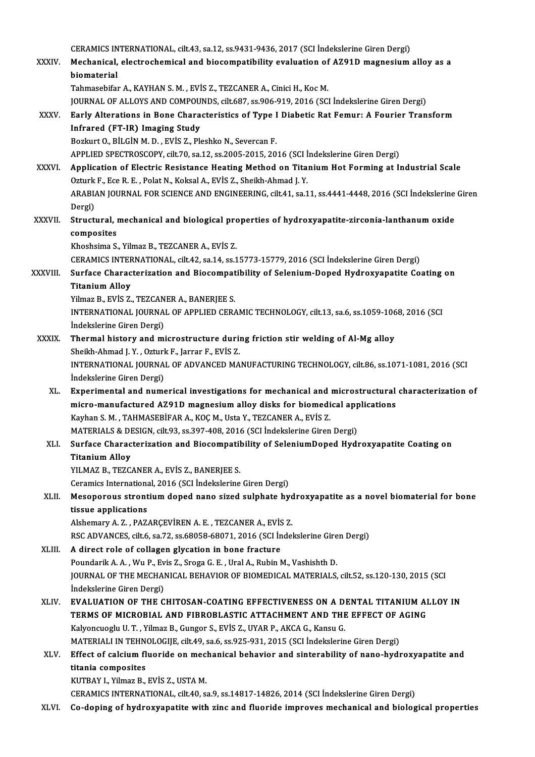|               | CERAMICS INTERNATIONAL, cilt.43, sa.12, ss.9431-9436, 2017 (SCI Indekslerine Giren Dergi)                                 |
|---------------|---------------------------------------------------------------------------------------------------------------------------|
| <b>XXXIV</b>  | Mechanical, electrochemical and biocompatibility evaluation of AZ91D magnesium alloy as a                                 |
|               | biomaterial<br>Tahmasebifar A., KAYHAN S. M., EVİS Z., TEZCANER A., Cinici H., Koc M.                                     |
|               | JOURNAL OF ALLOYS AND COMPOUNDS, cilt.687, ss.906-919, 2016 (SCI Indekslerine Giren Dergi)                                |
| XXXV.         | Early Alterations in Bone Characteristics of Type I Diabetic Rat Femur: A Fourier Transform                               |
|               | Infrared (FT-IR) Imaging Study                                                                                            |
|               | Bozkurt O., BİLGİN M. D., EVİS Z., Pleshko N., Severcan F.                                                                |
|               | APPLIED SPECTROSCOPY, cilt.70, sa.12, ss.2005-2015, 2016 (SCI Indekslerine Giren Dergi)                                   |
| <b>XXXVI</b>  | Application of Electric Resistance Heating Method on Titanium Hot Forming at Industrial Scale                             |
|               | Ozturk F., Ece R. E., Polat N., Koksal A., EVIS Z., Sheikh-Ahmad J. Y.                                                    |
|               | ARABIAN JOURNAL FOR SCIENCE AND ENGINEERING, cilt.41, sa.11, ss.4441-4448, 2016 (SCI İndekslerine Giren                   |
|               | Dergi)                                                                                                                    |
| <b>XXXVII</b> | Structural, mechanical and biological properties of hydroxyapatite-zirconia-lanthanum oxide<br>composites                 |
|               | Khoshsima S., Yilmaz B., TEZCANER A., EVİS Z.                                                                             |
|               | CERAMICS INTERNATIONAL, cilt.42, sa.14, ss.15773-15779, 2016 (SCI İndekslerine Giren Dergi)                               |
| XXXVIII.      | Surface Characterization and Biocompatibility of Selenium-Doped Hydroxyapatite Coating on                                 |
|               | <b>Titanium Alloy</b>                                                                                                     |
|               | Yilmaz B., EVIS Z., TEZCANER A., BANERJEE S.                                                                              |
|               | INTERNATIONAL JOURNAL OF APPLIED CERAMIC TECHNOLOGY, cilt.13, sa.6, ss.1059-1068, 2016 (SCI                               |
|               | İndekslerine Giren Dergi)                                                                                                 |
| <b>XXXIX</b>  | Thermal history and microstructure during friction stir welding of Al-Mg alloy                                            |
|               | Sheikh-Ahmad J. Y., Ozturk F., Jarrar F., EVIS Z.                                                                         |
|               | INTERNATIONAL JOURNAL OF ADVANCED MANUFACTURING TECHNOLOGY, cilt.86, ss.1071-1081, 2016 (SCI<br>İndekslerine Giren Dergi) |
| XL.           | Experimental and numerical investigations for mechanical and microstructural characterization of                          |
|               | micro-manufactured AZ91D magnesium alloy disks for biomedical applications                                                |
|               | Kayhan S. M., TAHMASEBİFAR A., KOÇ M., Usta Y., TEZCANER A., EVİS Z.                                                      |
|               | MATERIALS & DESIGN, cilt.93, ss.397-408, 2016 (SCI Indekslerine Giren Dergi)                                              |
| XLI.          | Surface Characterization and Biocompatibility of SeleniumDoped Hydroxyapatite Coating on                                  |
|               | <b>Titanium Alloy</b>                                                                                                     |
|               | YILMAZ B., TEZCANER A., EVIS Z., BANERJEE S.                                                                              |
|               | Ceramics International, 2016 (SCI Indekslerine Giren Dergi)                                                               |
| XLII.         | Mesoporous strontium doped nano sized sulphate hydroxyapatite as a novel biomaterial for bone                             |
|               | tissue applications<br>Alshemary A.Z., PAZARÇEVİREN A.E., TEZCANER A., EVİS Z.                                            |
|               | RSC ADVANCES, cilt.6, sa.72, ss.68058-68071, 2016 (SCI Indekslerine Giren Dergi)                                          |
| XLIII.        | A direct role of collagen glycation in bone fracture                                                                      |
|               | Poundarik A. A., Wu P., Evis Z., Sroga G. E., Ural A., Rubin M., Vashishth D.                                             |
|               | JOURNAL OF THE MECHANICAL BEHAVIOR OF BIOMEDICAL MATERIALS, cilt.52, ss.120-130, 2015 (SCI                                |
|               | İndekslerine Giren Dergi)                                                                                                 |
| XLIV.         | EVALUATION OF THE CHITOSAN-COATING EFFECTIVENESS ON A DENTAL TITANIUM ALLOY IN                                            |
|               | TERMS OF MICROBIAL AND FIBROBLASTIC ATTACHMENT AND THE EFFECT OF AGING                                                    |
|               | Kalyoncuoglu U. T., Yilmaz B., Gungor S., EVİS Z., UYAR P., AKCA G., Kansu G.                                             |
|               | MATERIALI IN TEHNOLOGIJE, cilt.49, sa.6, ss.925-931, 2015 (SCI İndekslerine Giren Dergi)                                  |
| XLV.          | Effect of calcium fluoride on mechanical behavior and sinterability of nano-hydroxyapatite and                            |
|               | titania composites<br>KUTBAY I., Yilmaz B., EVIS Z., USTA M.                                                              |
|               | CERAMICS INTERNATIONAL, cilt.40, sa.9, ss.14817-14826, 2014 (SCI Indekslerine Giren Dergi)                                |
| XLVI.         | Co-doping of hydroxyapatite with zinc and fluoride improves mechanical and biological properties                          |
|               |                                                                                                                           |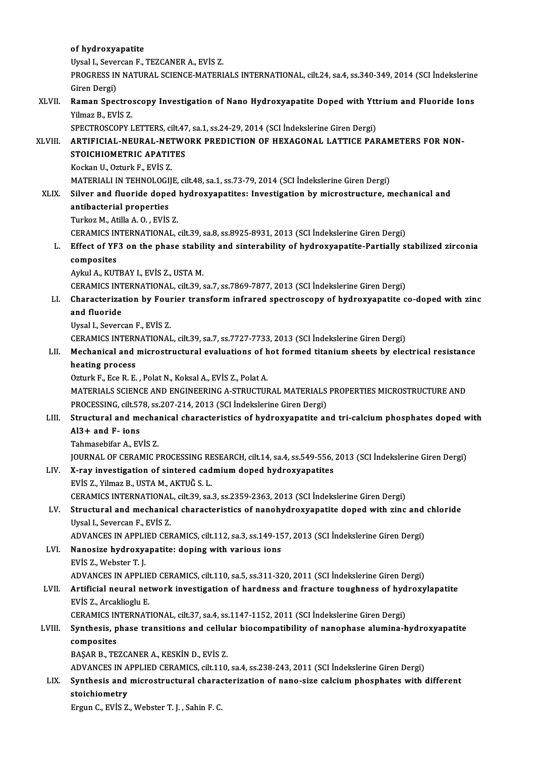## of hydroxyapatite Uysal I., Severcan F., TEZCANER A., EVİS Z. of hydroxyapatite<br>Uysal I., Severcan F., TEZCANER A., EVİS Z.<br>PROGRESS IN NATURAL SCIENCE-MATERIALS INTERNATIONAL, cilt.24, sa.4, ss.340-349, 2014 (SCI İndekslerine<br>Ciron Dargi) Uysal I., Sever<br>PROGRESS IN<br>Giren Dergi)<br>Paman Spec PROGRESS IN NATURAL SCIENCE-MATERIALS INTERNATIONAL, cilt.24, sa.4, ss.340-349, 2014 (SCI indekslerine<br>Giren Dergi)<br>XLVII. Raman Spectroscopy Investigation of Nano Hydroxyapatite Doped with Yttrium and Fluoride Ions<br>Vilman Giren Dergi)<br><mark>Raman Spectro</mark>:<br>Yilmaz B., EVİS Z.<br>spectposcopy i Raman Spectroscopy Investigation of Nano Hydroxyapatite Doped with Ytt<br>Yilmaz B., EVİS Z.<br>SPECTROSCOPY LETTERS, cilt.47, sa.1, ss.24-29, 2014 (SCI İndekslerine Giren Dergi)<br>ARTIEICIAL NEIIRAL NETWORK RREDICTION OF HEYACONA Yilmaz B., EVİS Z.<br>SPECTROSCOPY LETTERS, cilt.47, sa.1, ss.24-29, 2014 (SCI İndekslerine Giren Dergi)<br>XLVIII. ARTIFICIAL-NEURAL-NETWORK PREDICTION OF HEXAGONAL LATTICE PARAMETERS FOR NON-<br>STOICHIOMETRIC ARATITES SPECTROSCOPY LETTERS, cilt47, sa.1, ss.24-29, 2014 (SCI Indekslerine Giren Dergi)<br>ARTIFICIAL-NEURAL-NETWORK PREDICTION OF HEXAGONAL LATTICE PAI<br>STOICHIOMETRIC APATITES<br>Kockan U., Ozturk F., EVIS Z. ARTIFICIAL-NEURAL-NET<br>STOICHIOMETRIC APATIT<br>Kockan U., Ozturk F., EVİS Z.<br>MATERIALLIN TEUNOLOCU STOICHIOMETRIC APATITES<br>Kockan U., Ozturk F., EVİS Z.<br>MATERIALI IN TEHNOLOGIJE, cilt.48, sa.1, ss.73-79, 2014 (SCI İndekslerine Giren Dergi)<br>Silver and flueride danad hydroxyanatites: Investigation by misrestrusture, m XLIX. Silver and fluoride doped hydroxyapatites: Investigation by microstructure, mechanical and<br>antibacterial properties MATERIALI IN TEHNOLOGI<br>Silver and fluoride dope<br>antibacterial properties<br>Turker Madrile A.O., EVIS TurkozM.,AtilaA.O. ,EVİS Z. antibacterial properties<br>Turkoz M., Atilla A. O. , EVİS Z.<br>CERAMICS INTERNATIONAL, cilt.39, sa.8, ss.8925-8931, 2013 (SCI İndekslerine Giren Dergi)<br>Effect of YE2 on the nhaqq atability and sinterability of bydnowyanatite P Turkoz M., Atilla A. O. , EVİS Z.<br>CERAMICS INTERNATIONAL, cilt.39, sa.8, ss.8925-8931, 2013 (SCI İndekslerine Giren Dergi)<br>L. Effect of YF3 on the phase stability and sinterability of hydroxyapatite-Partially stabilized zi **CERAMICS IN**<br>Effect of YF<br>composites Effect of YF3 on the phase stabil<br>composites<br>Aykul A., KUTBAY I., EVİS Z., USTA M.<br>CERAMICS INTERNATIONAL. sil: 20. composites<br>Aykul A., KUTBAY I., EVİS Z., USTA M.<br>CERAMICS INTERNATIONAL, cilt.39, sa.7, ss.7869-7877, 2013 (SCI İndekslerine Giren Dergi) Aykul A., KUTBAY I., EVİS Z., USTA M.<br>CERAMICS INTERNATIONAL, cilt.39, sa.7, ss.7869-7877, 2013 (SCI İndekslerine Giren Dergi)<br>LI. Characterization by Fourier transform infrared spectroscopy of hydroxyapatite co-doped with **CERAMICS INT**<br>Characterizat<br>and fluoride<br>Uvcal L Severs Characterization by Four<br>and fluoride<br>Uysal I., Severcan F., EVİS Z.<br>CERAMICS INTERNATIONAL and fluoride<br>Uysal I., Severcan F., EVİS Z.<br>CERAMICS INTERNATIONAL, cilt.39, sa.7, ss.7727-7733, 2013 (SCI İndekslerine Giren Dergi)<br>Meshanisal and misrostrustural evaluations of bet formed titanium shoets by elec Uysal I., Severcan F., EVİS Z.<br>CERAMICS INTERNATIONAL, cilt.39, sa.7, ss.7727-7733, 2013 (SCI İndekslerine Giren Dergi)<br>LII. Mechanical and microstructural evaluations of hot formed titanium sheets by electrical resistance **CERAMICS INTERN<br>Mechanical and<br>heating process**<br>Orturk E. Eco B. E OzturkF.,EceR.E. ,PolatN.,KoksalA.,EVİS Z.,PolatA. MATERIALS SCIENCE AND ENGINEERING A-STRUCTURAL MATERIALS PROPERTIES MICROSTRUCTURE AND PROCESSING, cilt.578, ss.207-214, 2013 (SCI İndekslerine Giren Dergi) MATERIALS SCIENCE AND ENGINEERING A-STRUCTURAL MATERIALS PROPERTIES MICROSTRUCTURE AND<br>PROCESSING, cilt.578, ss.207-214, 2013 (SCI İndekslerine Giren Dergi)<br>LIII. Structural and mechanical characteristics of hydroxyapatite PROCESSING, cilt.57<br>Structural and me<br>Al3+ and F- ions<br>Tehmesebifor A FI Structural and mecha:<br>Al3+ and F- ions<br>Tahmasebifar A., EVİS Z.<br>JOUPNAL OF CERAMIC R Al3+ and F- ions<br>Tahmasebifar A., EVİS Z.<br>JOURNAL OF CERAMIC PROCESSING RESEARCH, cilt.14, sa.4, ss.549-556, 2013 (SCI İndekslerine Giren Dergi)<br>Y. nav. investisation of sintened sadmium danad bydnovyanatites. Tahmasebifar A., EVİS Z.<br>JOURNAL OF CERAMIC PROCESSING RESEARCH, cilt.14, sa.4, ss.549-556,<br>LIV. X-ray investigation of sintered cadmium doped hydroxyapatites<br>EVİS Z., Yilmaz B., USTA M., AKTUĞ S. L. JOURNAL OF CERAMIC PROCESSING RE<br>X-ray investigation of sintered cad<br>EVİS Z., Yilmaz B., USTA M., AKTUĞ S. L.<br>CERAMICS INTERNATIONAL .silt 39. S. X-ray investigation of sintered cadmium doped hydroxyapatites<br>EVİS Z., Yilmaz B., USTA M., AKTUĞ S. L.<br>CERAMICS INTERNATIONAL, cilt.39, sa.3, ss.2359-2363, 2013 (SCI İndekslerine Giren Dergi)<br>Structural and mashanical shar LV. Structural and mechanical characteristics of nanohydroxyapatite doped with zinc and chloride<br>Uysal I., Severcan F., EVIS Z. CERAMICS INTERNATIONAL<br>Structural and mechanic:<br>Uysal I., Severcan F., EVİS Z.<br>ADVANCES IN APPLIED CEE Structural and mechanical characteristics of nanohydroxyapatite doped with zinc and<br>Uysal I., Severcan F., EVİS Z.<br>ADVANCES IN APPLIED CERAMICS, cilt.112, sa.3, ss.149-157, 2013 (SCI İndekslerine Giren Dergi)<br>Nanosize hydr Uysal I., Severcan F., EVIS Z.<br>ADVANCES IN APPLIED CERAMICS, cilt.112, sa.3, ss.149-15<br>LVI. Nanosize hydroxyapatite: doping with various ions<br>EVIS 7. Webster T. I ADVANCES IN APPLI<br>Nanosize hydroxy:<br>EVİS Z., Webster T. J.<br>ADVANCES IN APPLI Nanosize hydroxyapatite: doping with various ions<br>EVİS Z., Webster T. J.<br>ADVANCES IN APPLIED CERAMICS, cilt.110, sa.5, ss.311-320, 2011 (SCI İndekslerine Giren Dergi)<br>Artificial naural natuork investigation of bardness and EVIS Z., Webster T. J.<br>ADVANCES IN APPLIED CERAMICS, cilt.110, sa.5, ss.311-320, 2011 (SCI İndekslerine Giren Dergi)<br>LVII. Artificial neural network investigation of hardness and fracture toughness of hydroxylapatite<br>EVIS ADVANCES IN APPLIE<br>Artificial neural net<br>EVIS Z., Arcaklioglu E.<br>CERAMICS INTERNAT Artificial neural network investigation of hardness and fracture toughness of hyd<br>EVİS Z., Arcaklioglu E.<br>CERAMICS INTERNATIONAL, cilt.37, sa.4, ss.1147-1152, 2011 (SCI İndekslerine Giren Dergi)<br>Sunthesis, phase transition EVİS Z., Arcaklioglu E.<br>CERAMICS INTERNATIONAL, cilt.37, sa.4, ss.1147-1152, 2011 (SCI İndekslerine Giren Dergi)<br>LVIII. Synthesis, phase transitions and cellular biocompatibility of nanophase alumina-hydroxyapatite<br>composi CERAMICS INTERNATIONAL, cilt.37, sa.4, ss.1147-1152, 2011 (SCI İndekslerine Giren Dergi) BAŞARB.,TEZCANERA.,KESKİND.,EVİS Z. composites<br>BAŞAR B., TEZCANER A., KESKİN D., EVİS Z.<br>ADVANCES IN APPLIED CERAMICS, cilt.110, sa.4, ss.238-243, 2011 (SCI İndekslerine Giren Dergi)<br>Synthosis and misrostuystural sharastarization of nano sixe salsium phospha LIX. Synthesis and microstructural characterization of nano-size calcium phosphates with different stoichiometry ADVANCES IN A<br>Synthesis and<br>stoichiometry<br>Ergun C. EVIS 7

Ergun C., EVİS Z., Webster T. J., Sahin F. C.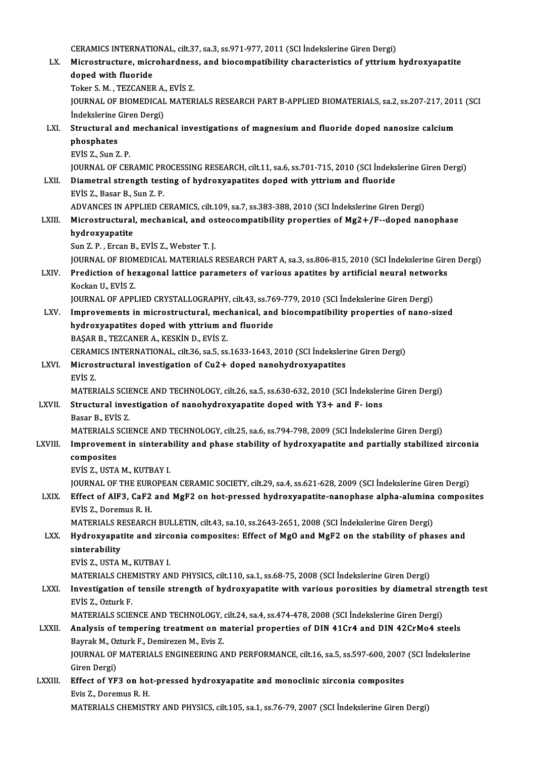- CERAMICS INTERNATIONAL, cilt.37, sa.3, ss.971-977, 2011 (SCI İndekslerine Giren Dergi)<br>Mispostructure, mispobordaese, and biosomnatibility obaresteristise of uttajum CERAMICS INTERNATIONAL, cilt.37, sa.3, ss.971-977, 2011 (SCI İndekslerine Giren Dergi)<br>LX. Microstructure, microhardness, and biocompatibility characteristics of yttrium hydroxyapatite<br>daned with fluaride **CERAMICS INTERNATION**<br>Microstructure, micro<br>doped with fluoride<br>Teker S.M. TEZCANER Microstructure, microhardnes<br>doped with fluoride<br>Toker S. M. , TEZCANER A., EVİS Z.<br>JOUPNAL OF PJOMEDICAL MATER doped with fluoride<br>Toker S. M. , TEZCANER A., EVİS Z.<br>JOURNAL OF BIOMEDICAL MATERIALS RESEARCH PART B-APPLIED BIOMATERIALS, sa.2, ss.207-217, 2011 (SCI Toker S. M. , TEZCANER A.<br>JOURNAL OF BIOMEDICAL<br>İndekslerine Giren Dergi)<br>Structural and machani JOURNAL OF BIOMEDICAL MATERIALS RESEARCH PART B-APPLIED BIOMATERIALS, sa.2, ss.207-217, 201<br>İndekslerine Giren Dergi)<br>LXI. Structural and mechanical investigations of magnesium and fluoride doped nanosize calcium<br>nhesphate Indekslerine<br>Structural a<br>phosphates<br>E<sup>vis 7</sup> Sun 7 Structural and<br>phosphates<br>EVİS Z., Sun Z. P.<br>JOUPMAL OF CEL phosphates<br>EVİS Z., Sun Z. P.<br>JOURNAL OF CERAMIC PROCESSING RESEARCH, cilt.11, sa.6, ss.701-715, 2010 (SCI İndekslerine Giren Dergi)<br>Diametral stranath testing of hydrovyanatites daned with yttrium and fluoride EVIS Z., Sun Z. P.<br>JOURNAL OF CERAMIC PROCESSING RESEARCH, cilt.11, sa.6, ss.701-715, 2010 (SCI Indeks<br>LXII. Diametral strength testing of hydroxyapatites doped with yttrium and fluoride<br>EVIS Z.. Basar B.. Sun Z. P. **JOURNAL OF CERAMIC PR<br>Diametral strength test<br>EVİS Z., Basar B., Sun Z. P.<br>ADVANCES IN APPLIED C.** ADVANCES IN APPLIED CERAMICS, cilt.109, sa.7, ss.383-388, 2010 (SCI İndekslerine Giren Dergi) EVİS Z., Basar B., Sun Z. P.<br>ADVANCES IN APPLIED CERAMICS, cilt.109, sa.7, ss.383-388, 2010 (SCI İndekslerine Giren Dergi)<br>LXIII. Microstructural, mechanical, and osteocompatibility properties of Mg2+/F--doped nanophase<br>hy ADVANCES IN AP<br>Microstructural<br>hydroxyapatite<br>Sun Z. B. Freen B Microstructural, mechanical, and os<br>hydroxyapatite<br>Sun Z. P. , Ercan B., EVİS Z., Webster T. J.<br>JOUPNAL OF PJOMEDICAL MATERIALS I hydroxyapatite<br>Sun Z. P. , Ercan B., EVİS Z., Webster T. J.<br>JOURNAL OF BIOMEDICAL MATERIALS RESEARCH PART A, sa.3, ss.806-815, 2010 (SCI İndekslerine Giren Dergi) Sun Z. P. , Ercan B., EVİS Z., Webster T. J.<br>JOURNAL OF BIOMEDICAL MATERIALS RESEARCH PART A, sa.3, ss.806-815, 2010 (SCI İndekslerine Gire<br>LXIV. Prediction of hexagonal lattice parameters of various apatites by artifi **JOURNAL OF BIOM<br>Prediction of he<br>Kockan U., EVİS Z.<br>JOUPNAL OF APPI** Prediction of hexagonal lattice parameters of various apatites by artificial neural netwo:<br>Kockan U., EVİS Z.<br>JOURNAL OF APPLIED CRYSTALLOGRAPHY, cilt.43, ss.769-779, 2010 (SCI İndekslerine Giren Dergi)<br>Improvements in mis Kockan U., EVİS Z.<br>JOURNAL OF APPLIED CRYSTALLOGRAPHY, cilt.43, ss.769-779, 2010 (SCI İndekslerine Giren Dergi)<br>LXV. Improvements in microstructural, mechanical, and biocompatibility properties of nano-sized<br>hydroxyana JOURNAL OF APPLIED CRYSTALLOGRAPHY, cilt.43, ss.769-779, 2010 (SCI Indekslerine Giren Dergi)<br>Improvements in microstructural, mechanical, and biocompatibility properties of nano-s<br>hydroxyapatites doped with yttrium and flu Improvements in microstructural, mechydroxyapatites doped with yttrium an<br>BAŞAR B., TEZCANER A., KESKİN D., EVİS Z.<br>CERAMICS INTERNATIONAL silt 26.53.5.55 hydroxyapatites doped with yttrium and fluoride<br>BAŞAR B., TEZCANER A., KESKİN D., EVİS Z.<br>CERAMICS INTERNATIONAL, cilt.36, sa.5, ss.1633-1643, 2010 (SCI İndekslerine Giren Dergi)<br>Misrostrustural investisation of Cu2 L dope BAŞAR B., TEZCANER A., KESKİN D., EVİS Z.<br>CERAMICS INTERNATIONAL, cilt.36, sa.5, ss.1633-1643, 2010 (SCI İndeksler:<br>LXVI. Microstructural investigation of Cu2+ doped nanohydroxyapatites<br>EVIS 7 CERAM<br>**Micros**<br>EVİS Z.<br>MATER Microstructural investigation of Cu2+ doped nanohydroxyapatites<br>EVİS Z.<br>MATERIALS SCIENCE AND TECHNOLOGY, cilt.26, sa.5, ss.630-632, 2010 (SCI İndekslerine Giren Dergi)<br>Structural investigation of nanohydroxyanatita danad EVIS Z.<br>MATERIALS SCIENCE AND TECHNOLOGY, cilt.26, sa.5, ss.630-632, 2010 (SCI Indeksler<br>LXVII. Structural investigation of nanohydroxyapatite doped with Y3+ and F- ions<br>Basar B., EVIS Z. MATERIALS SCIE<br><mark>Structural inve</mark><br>Basar B., EVİS Z.<br>MATERIALS SCIE Structural investigation of nanohydroxyapatite doped with Y3+ and F- ions<br>Basar B., EVİS Z.<br>MATERIALS SCIENCE AND TECHNOLOGY, cilt.25, sa.6, ss.794-798, 2009 (SCI İndekslerine Giren Dergi)<br>Improvement in sinterability and Basar B., EVİS Z.<br>MATERIALS SCIENCE AND TECHNOLOGY, cilt.25, sa.6, ss.794-798, 2009 (SCI İndekslerine Giren Dergi)<br>LXVIII. Improvement in sinterability and phase stability of hydroxyapatite and partially stabilized zir MATERIALS S<br>Improvement<br>composites<br>EVis 7 - USTA Improvement in sinterab<br>composites<br>EVİS Z., USTA M., KUTBAY I.<br>IQUPNAL OF THE EUROPEA composites<br>EVİS Z., USTA M., KUTBAY I.<br>JOURNAL OF THE EUROPEAN CERAMIC SOCIETY, cilt.29, sa.4, ss.621-628, 2009 (SCI İndekslerine Giren Dergi)<br>Effect of AlE2, CoE2 and MeE2 an bet pressed bydrovyanetite papaphese alpha alu EVIS Z., USTA M., KUTBAY I.<br>JOURNAL OF THE EUROPEAN CERAMIC SOCIETY, cilt.29, sa.4, ss.621-628, 2009 (SCI Indekslerine Giren Dergi)<br>LXIX. Effect of AlF3, CaF2 and MgF2 on hot-pressed hydroxyapatite-nanophase alpha-alumina **JOURNAL OF THE EURE<br>Effect of AIF3, CaF2<br>EVİS Z., Doremus R. H.<br>MATEPIALS RESEARCI** LXIX. Effect of AIF3, CaF2 and MgF2 on hot-pressed hydroxyapatite-nanophase alpha-alumina composites<br>EVIS Z., Doremus R. H.<br>MATERIALS RESEARCH BULLETIN, cilt.43, sa.10, ss.2643-2651, 2008 (SCI Indekslerine Giren Dergi) EVİS Z., Doremus R. H.<br>MATERIALS RESEARCH BULLETIN, cilt.43, sa.10, ss.2643-2651, 2008 (SCI İndekslerine Giren Dergi)<br>LXX. Hydroxyapatite and zirconia composites: Effect of MgO and MgF2 on the stability of phases and<br>sinte MATERIALS R<br><mark>Hydroxyapat</mark><br>sinterability<br>EVis 7 - USTA 1 Hydroxyapatite and zirce<br>sinterability<br>EVİS Z., USTA M., KUTBAY I.<br>MATEPIAI S CHEMISTRY AN sinterability<br>EVİS Z., USTA M., KUTBAY I.<br>MATERIALS CHEMISTRY AND PHYSICS, cilt.110, sa.1, ss.68-75, 2008 (SCI İndekslerine Giren Dergi)<br>Investigation of tangile strength of hydroxyanatite with yerious peresities by diamet EVİS Z., USTA M., KUTBAY I.<br>MATERIALS CHEMISTRY AND PHYSICS, cilt.110, sa.1, ss.68-75, 2008 (SCI İndekslerine Giren Dergi)<br>LXXI. Investigation of tensile strength of hydroxyapatite with various porosities by diametral stre MATERIALS CHE<br>Investigation of<br>EVİS Z., Ozturk F.<br>MATERIALS SCIE Investigation of tensile strength of hydroxyapatite with various porosities by diametral str<br>EVİS Z., Ozturk F.<br>MATERIALS SCIENCE AND TECHNOLOGY, cilt.24, sa.4, ss.474-478, 2008 (SCI İndekslerine Giren Dergi)<br>Analysis of t MATERIALS SCIENCE AND TECHNOLOGY, cilt.24, sa.4, ss.474-478, 2008 (SCI Indekslerine Giren Dergi)
- EVİS Z., Ozturk F.<br>MATERIALS SCIENCE AND TECHNOLOGY, cilt.24, sa.4, ss.474-478, 2008 (SCI İndekslerine Giren Dergi)<br>LXXII. Analysis of tempering treatment on material properties of DIN 41Cr4 and DIN 42CrMo4 steels<br>Bayrak M Analysis of tempering treatment on material properties of DIN 41Cr4 and DIN 42CrMo4 steels<br>Bayrak M., Ozturk F., Demirezen M., Evis Z.<br>JOURNAL OF MATERIALS ENGINEERING AND PERFORMANCE, cilt.16, sa.5, ss.597-600, 2007 (SCI Bayrak M., Oz<br>JOURNAL OF<br>Giren Dergi)<br>Effect of YE JOURNAL OF MATERIALS ENGINEERING AND PERFORMANCE, cilt.16, sa.5, ss.597-600, 2007<br>Giren Dergi)<br>LXXIII. Effect of YF3 on hot-pressed hydroxyapatite and monoclinic zirconia composites

Giren Dergi)<br>Effect of YF3 on hot-pressed hydroxyapatite and monoclinic zirconia composites<br>Evis Z., Doremus R. H. MATERIALS CHEMISTRY AND PHYSICS, cilt.105, sa.1, ss.76-79, 2007 (SCI İndekslerine Giren Dergi)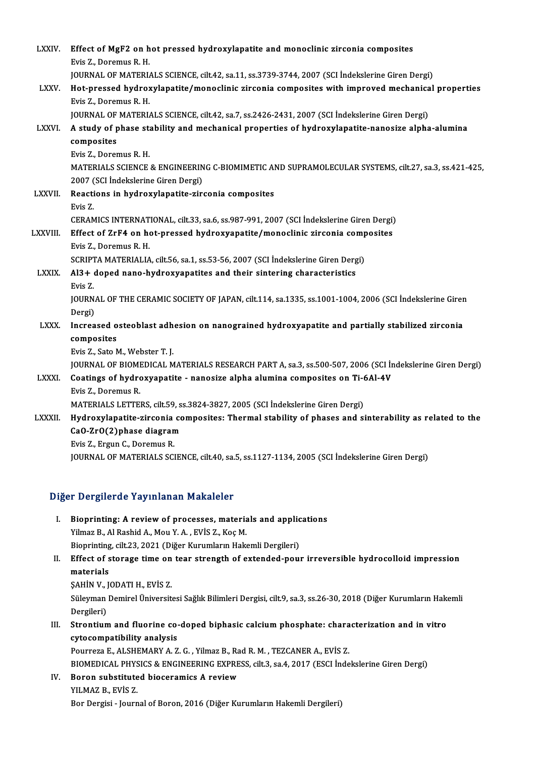| <b>LXXIV.</b>  | Effect of MgF2 on hot pressed hydroxylapatite and monoclinic zirconia composites                       |
|----------------|--------------------------------------------------------------------------------------------------------|
|                | Evis Z., Doremus R. H.                                                                                 |
|                | JOURNAL OF MATERIALS SCIENCE, cilt.42, sa.11, ss.3739-3744, 2007 (SCI Indekslerine Giren Dergi)        |
| <b>LXXV</b> .  | Hot-pressed hydroxylapatite/monoclinic zirconia composites with improved mechanical properties         |
|                | Evis Z., Doremus R. H.                                                                                 |
|                | JOURNAL OF MATERIALS SCIENCE, cilt.42, sa.7, ss.2426-2431, 2007 (SCI Indekslerine Giren Dergi)         |
| <b>LXXVI</b> . | A study of phase stability and mechanical properties of hydroxylapatite-nanosize alpha-alumina         |
|                | composites                                                                                             |
|                | Evis Z., Doremus R. H.                                                                                 |
|                | MATERIALS SCIENCE & ENGINEERING C-BIOMIMETIC AND SUPRAMOLECULAR SYSTEMS, cilt.27, sa.3, ss.421-425,    |
|                | 2007 (SCI İndekslerine Giren Dergi)                                                                    |
| <b>LXXVII</b>  | Reactions in hydroxylapatite-zirconia composites                                                       |
|                | Evis Z                                                                                                 |
|                | CERAMICS INTERNATIONAL, cilt.33, sa.6, ss.987-991, 2007 (SCI Indekslerine Giren Dergi)                 |
| LXXVIII.       | Effect of ZrF4 on hot-pressed hydroxyapatite/monoclinic zirconia composites                            |
|                | Evis Z, Doremus R.H.                                                                                   |
|                | SCRIPTA MATERIALIA, cilt.56, sa.1, ss.53-56, 2007 (SCI Indekslerine Giren Dergi)                       |
| <b>LXXIX</b>   | Al3+ doped nano-hydroxyapatites and their sintering characteristics                                    |
|                | Evis Z                                                                                                 |
|                | JOURNAL OF THE CERAMIC SOCIETY OF JAPAN, cilt.114, sa.1335, ss.1001-1004, 2006 (SCI Indekslerine Giren |
|                | Dergi)                                                                                                 |
| <b>LXXX</b>    | Increased osteoblast adhesion on nanograined hydroxyapatite and partially stabilized zirconia          |
|                | composites                                                                                             |
|                | Evis Z., Sato M., Webster T. J.                                                                        |
|                | JOURNAL OF BIOMEDICAL MATERIALS RESEARCH PART A, sa.3, ss.500-507, 2006 (SCI Indekslerine Giren Dergi) |
| <b>LXXXI</b>   | Coatings of hydroxyapatite - nanosize alpha alumina composites on Ti-6Al-4V                            |
|                | Evis Z., Doremus R.<br>MATERIALS LETTERS, cilt 59, ss.3824-3827, 2005 (SCI İndekslerine Giren Dergi)   |
| <b>LXXXII</b>  | Hydroxylapatite-zirconia composites: Thermal stability of phases and sinterability as related to the   |
|                | CaO-ZrO(2)phase diagram                                                                                |
|                | Evis Z., Ergun C., Doremus R.                                                                          |
|                | JOURNAL OF MATERIALS SCIENCE, cilt.40, sa.5, ss.1127-1134, 2005 (SCI Indekslerine Giren Dergi)         |
|                |                                                                                                        |

#### Diğer Dergilerde Yayınlanan Makaleler

I. Bioprinting: A review of processes, materials and applications Yilmaz B., Al Rashid A., Mou Y. A., EVİS Z., Koç M. Bioprinting, cilt.23, 2021 (Diğer Kurumların Hakemli Dergileri) Yilmaz B., Al Rashid A., Mou Y. A. , EVİS Z., Koç M.<br>Bioprinting, cilt.23, 2021 (Diğer Kurumların Hakemli Dergileri)<br>II. Effect of storage time on tear strength of extended-pour irreversible hydrocolloid impression<br>materia

## Bioprinting<br>**Effect of s<br>materials**<br>SAHIN V J Effect of storage time on<br>materials<br>ŞAHİN V., JODATI H., EVİS Z.<br>Sülayman Damiral Üniversit

ŞAHİN V., JODATI H., EVİS Z.

materials<br>ŞAHİN V., JODATI H., EVİS Z.<br>Süleyman Demirel Üniversitesi Sağlık Bilimleri Dergisi, cilt.9, sa.3, ss.26-30, 2018 (Diğer Kurumların Hakemli<br>Dergileri) Süleyman Demirel Üniversitesi Sağlık Bilimleri Dergisi, cilt.9, sa.3, ss.26-30, 2018 (Diğer Kurumların Hakonor<br>Dergileri)<br>III. Strontium and fluorine co-doped biphasic calcium phosphate: characterization and in vitro<br>autog

Dergileri)<br>Strontium and fluorine co-<br>cytocompatibility analysis<br>Bourrere E. ALSHEMARY A.Z Strontium and fluorine co-doped biphasic calcium phosphate: chara<br>cytocompatibility analysis<br>Pourreza E., ALSHEMARY A. Z. G. , Yilmaz B., Rad R. M. , TEZCANER A., EVİS Z.<br>PIOMEDICAL PUVSICS & ENCINEERING EVPRESS .sit 3, 29

cytocompatibility analysis<br>Pourreza E., ALSHEMARY A. Z. G. , Yilmaz B., Rad R. M. , TEZCANER A., EVİS Z.<br>BIOMEDICAL PHYSICS & ENGINEERING EXPRESS, cilt.3, sa.4, 2017 (ESCI İndekslerine Giren Dergi)<br>Bonan aubatituted biocar Pourreza E., ALSHEMARY A. Z. G., Yilmaz B., Rad R. M., TEZCANER A., EVIS Z.<br>BIOMEDICAL PHYSICS & ENGINEERING EXPRESS, cilt.3, sa.4, 2017 (ESCI Inde.<br>IV. Boron substituted bioceramics A review<br>YILMAZ B., EVIS Z.

BIOMEDICAL PHYS<br>**Boron substitute**<br>YILMAZ B., EVİS Z.<br>Por Dergisi , Jeurn Bor Dergisi - Journal of Boron, 2016 (Diğer Kurumların Hakemli Dergileri)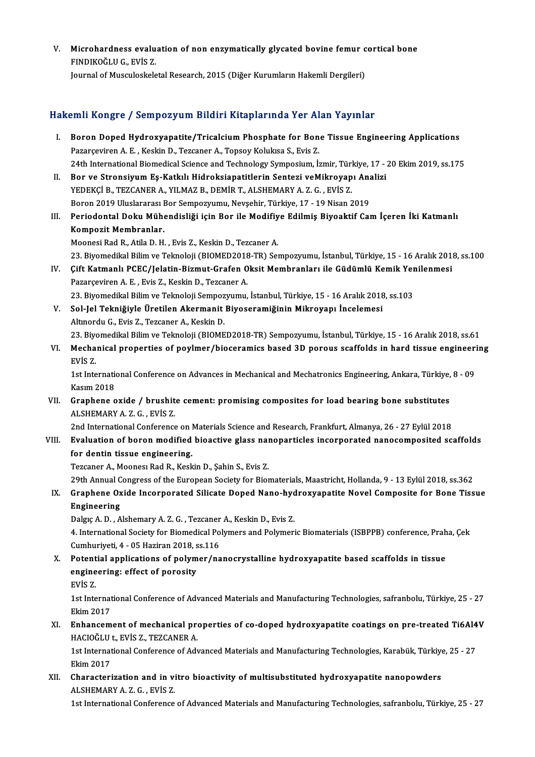V. Microhardness evaluation of non enzymatically glycated bovine femur cortical bone<br>FINDIKOČLU.C. EVIS 7 FINDIKOĞLU G., EVİS Z.<br>Journal of Musculoskeletal Research, 2015 (Diğer Kurumların Hakemli Dergileri) Microhardness evaluation of non enzymatically glycated bovine femur c<br>FINDIKOĞLU G., EVİS Z.<br>Journal of Musculoskeletal Research, 2015 (Diğer Kurumların Hakemli Dergileri)

#### Hakemli Kongre / Sempozyum Bildiri Kitaplarında Yer Alan Yayınlar

- akemli Kongre / Sempozyum Bildiri Kitaplarında Yer Alan Yayınlar<br>I. Boron Doped Hydroxyapatite/Tricalcium Phosphate for Bone Tissue Engineering Applications<br>Pagareeviran A.E., Keskin D. Taganer A. Tansey Kelulasa S. Evis 7 Pazarçeviren A. E. , Keskin D., Tezcaner A., Topsoy Kolukısa S., Evis Z.<br>24th International Biomedical Science and Technology Symposium, İzmir, Türkiye, 17 - 20 Ekim 2019, ss.175 Boron Doped Hydroxyapatite/Tricalcium Phosphate for Bone Tissue Engineering Applications<br>Pazarçeviren A. E. , Keskin D., Tezcaner A., Topsoy Kolukısa S., Evis Z.<br>24th International Biomedical Science and Technology Symposi Pazarçeviren A. E., Keskin D., Tezcaner A., Topsoy Kolukısa S., Evis Z.<br>24th International Biomedical Science and Technology Symposium, İzmir, Türkiye, 17 -<br>II. Bor ve Stronsiyum Eş-Katkılı Hidroksiapatitlerin Sentezi veMi
- 24th International Biomedical Science and Technology Symposium, İzmir, Türl<br>Bor ve Stronsiyum Eş-Katkılı Hidroksiapatitlerin Sentezi veMikroyap<br>YEDEKÇİ B., TEZCANER A., YILMAZ B., DEMİR T., ALSHEMARY A. Z. G. , EVİS Z.<br>Per Bor ve Stronsiyum Eş-Katkılı Hidroksiapatitlerin Sentezi veMikroyapı Ana<br>YEDEKÇİ B., TEZCANER A., YILMAZ B., DEMİR T., ALSHEMARY A. Z. G. , EVİS Z.<br>Boron 2019 Uluslararası Bor Sempozyumu, Nevşehir, Türkiye, 17 - 19 Nisan 2 YEDEKÇİ B., TEZCANER A., YILMAZ B., DEMİR T., ALSHEMARY A. Z. G. , EVİS Z.<br>Boron 2019 Uluslararası Bor Sempozyumu, Nevşehir, Türkiye, 17 - 19 Nisan 2019<br>III. Periodontal Doku Mühendisliği için Bor ile Modifiye Edilmiş
- Boron 2019 Uluslararası Bor Sempozyumu, Nevşehir, Türkiye, 17 19 Nisan 2019<br>Periodontal Doku Mühendisliği için Bor ile Modifiye Edilmiş Biyoaktif Ca<br>Kompozit Membranlar.<br>Moonesi Rad R., Atila D. H. , Evis Z., Keskin D., Periodontal Doku Mühendisliği için Bor ile Modifiy<br>Kompozit Membranlar.<br>Moonesi Rad R., Atila D. H. , Evis Z., Keskin D., Tezcaner A.<br>22. Biyomedikal Bilim ve Teknoloji (BIOMED2019 TP) Ser
- Kompozit Membranlar.<br>Moonesi Rad R., Atila D. H. , Evis Z., Keskin D., Tezcaner A.<br>23. Biyomedikal Bilim ve Teknoloji (BIOMED2018-TR) Sempozyumu, İstanbul, Türkiye, 15 16 Aralık 2018, ss.100<br>Cift Katmanlı BCEC (Jalatin, Moonesi Rad R., Atila D. H. , Evis Z., Keskin D., Tezcaner A.<br>23. Biyomedikal Bilim ve Teknoloji (BIOMED2018-TR) Sempozyumu, İstanbul, Türkiye, 15 - 16 Aralık 201:<br>IV. Çift Katmanlı PCEC/Jelatin-Bizmut-Grafen Oksit Membran
- 23. Biyomedikal Bilim ve Teknoloji (BIOMED2018<br>Çift Katmanlı PCEC/Jelatin-Bizmut-Grafen O<br>Pazarçeviren A. E. , Evis Z., Keskin D., Tezcaner A.<br>22. Biyomedikal Bilim ve Talmalaji Samnawwww Çift Katmanlı PCEC/Jelatin-Bizmut-Grafen Oksit Membranları ile Güdümlü Kemik Yer<br>Pazarçeviren A.E., Evis Z., Keskin D., Tezcaner A.<br>23. Biyomedikal Bilim ve Teknoloji Sempozyumu, İstanbul, Türkiye, 15 - 16 Aralık 2018, ss. Pazarçeviren A. E. , Evis Z., Keskin D., Tezcaner A.<br>23. Biyomedikal Bilim ve Teknoloji Sempozyumu, İstanbul, Türkiye, 15 - 16 Aralık 2018<br>V. Sol-Jel Tekniğiyle Üretilen Akermanit Biyoseramiğinin Mikroyapı İncelemesi<br>Altın 23. Biyomedikal Bilim ve Teknoloji Sempozyumu, İstanbul, Türkiye, 15 - 16 Aralık 2018, ss.103
- 23.BiyomedikalBilimveTeknoloji (BIOMED2018-TR) Sempozyumu, İstanbul,Türkiye,15 -16Aralık2018, ss.61 Altınordu G., Evis Z., Tezcaner A., Keskin D.<br>23. Biyomedikal Bilim ve Teknoloji (BIOMED2018-TR) Sempozyumu, İstanbul, Türkiye, 15 - 16 Aralık 2018, ss.61<br>21. Mechanical properties of poylmer/bioceramics based 3D porous sc
- 23. Biye<br>Mecha<br>EVİS Z.<br><sup>1st Inte</sub></sup> Mechanical properties of poylmer/bioceramics based 3D porous scaffolds in hard tissue engineering<br>EVIS Z.<br>1st International Conference on Advances in Mechanical and Mechatronics Engineering, Ankara, Türkiye, 8 - 09<br>Kasum 2

EVİS Z.<br>1st Internation<br>Kasım 2018<br>Cranbana e 1st International Conference on Advances in Mechanical and Mechatronics Engineering, Ankara, Türkiye,<br>Kasım 2018<br>VII. Graphene oxide / brushite cement: promising composites for load bearing bone substitutes<br>ALSUEMARY A.Z.C

Kasım 2018<br>VII. Graphene oxide / brushite cement: promising composites for load bearing bone substitutes<br>ALSHEMARY A. Z. G. , EVİS Z. Graphene oxide / brushite cement: promising composites for load bearing bone substitutes<br>ALSHEMARY A. Z. G. , EVİS Z.<br>2nd International Conference on Materials Science and Research, Frankfurt, Almanya, 26 - 27 Eylül 2018<br>E

ALSHEMARY A. Z. G. , EVİS Z.<br>2nd International Conference on Materials Science and Research, Frankfurt, Almanya, 26 - 27 Eylül 2018<br>2011. Evaluation of boron modified bioactive glass nanoparticles incorporated nanocomp 2nd International Conference on 1<br>Evaluation of boron modified<br>for dentin tissue engineering.<br>Tersanan A. Moonen Pod P. Koek Evaluation of boron modified bioactive glass nai<br>for dentin tissue engineering.<br>Tezcaner A., Moonesı Rad R., Keskin D., Şahin S., Evis Z.<br>20th Annual Congress of the European Sesisty for Bior

for dentin tissue engineering.<br>Tezcaner A., Moonesı Rad R., Keskin D., Şahin S., Evis Z.<br>29th Annual Congress of the European Society for Biomaterials, Maastricht, Hollanda, 9 - 13 Eylül 2018, ss.362

Tezcaner A., Moonesı Rad R., Keskin D., Şahin S., Evis Z.<br>29th Annual Congress of the European Society for Biomaterials, Maastricht, Hollanda, 9 - 13 Eylül 2018, ss.362<br>IX. Graphene Oxide Incorporated Silicate Doped Na 29th Annual C<br>Graphene Ox<br>Engineering<br>Dalgy A.D. A Graphene Oxide Incorporated Silicate Doped Nano-hyd<br>Engineering<br>Dalgıç A. D. , Alshemary A. Z. G. , Tezcaner A., Keskin D., Evis Z.<br>4. International Society for Piemedical Polymers and Polymeri

Engineering<br>Dalgıç A. D. , Alshemary A. Z. G. , Tezcaner A., Keskin D., Evis Z.<br>4. International Society for Biomedical Polymers and Polymeric Biomaterials (ISBPPB) conference, Praha, Çek Dalgıç A. D. , Alshemary A. Z. G. , Tezcaner<br>4. International Society for Biomedical Po<br>Cumhuriyeti, 4 - 05 Haziran 2018, ss.116<br>Petential applications of polymor (po

- X. Potential applications of polymer/nanocrystalline hydroxyapatite based scaffolds in tissue Cumhuriyeti, 4 - 05 Haziran 2018, s<br>Potential applications of polym<br>engineering: effect of porosity<br>Evis 7 engineering: effect of porosity<br>EVİS Z.
	-

engineering: effect of porosity<br>EVİS Z.<br>1st International Conference of Advanced Materials and Manufacturing Technologies, safranbolu, Türkiye, 25 - 27 EVİS Z.<br>1st Internat<br>Ekim 2017<br>Enhancam 1st International Conference of Advanced Materials and Manufacturing Technologies, safranbolu, Türkiye, 25 - 27<br>Ekim 2017<br>XI. Enhancement of mechanical properties of co-doped hydroxyapatite coatings on pre-treated Ti6Al4V<br>

Ekim 2017<br>Enhancement of mechanical pro<br>HACIOĞLU t., EVİS Z., TEZCANER A.<br>1st International Conference of Adv Enhancement of mechanical properties of co-doped hydroxyapatite coatings on pre-treated Ti6Al4<br>HACIOĞLU t., EVİS Z., TEZCANER A.<br>1st International Conference of Advanced Materials and Manufacturing Technologies, Karabük, T

HACIOĞLU t., EVİS Z., TEZCANER A.<br>1st International Conference of Advanced Materials and Manufacturing Technologies, Karabük, Türkiye, 25 - 27<br>Ekim 2017 1st International Conference of Advanced Materials and Manufacturing Technologies, Karabük, Türkiye<br>Ekim 2017<br>XII. Characterization and in vitro bioactivity of multisubstituted hydroxyapatite nanopowders<br>ALSUEMARY A.Z.C. E

Ekim 2017<br>Characterization and in vi<br>ALSHEMARY A. Z. G. , EVİS Z.<br>1st International Conference Characterization and in vitro bioactivity of multisubstituted hydroxyapatite nanopowders<br>ALSHEMARY A. Z. G. , EVİS Z.<br>1st International Conference of Advanced Materials and Manufacturing Technologies, safranbolu, Türkiye,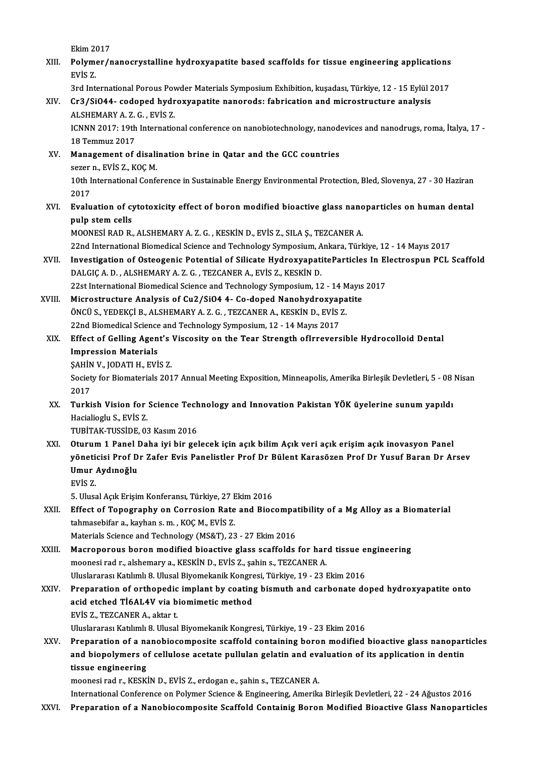Ekim 2017<br>Polymor/r

| XIII.  | <b>Ekim 2017</b><br>Polymer/nanocrystalline hydroxyapatite based scaffolds for tissue engineering applications                                    |
|--------|---------------------------------------------------------------------------------------------------------------------------------------------------|
|        | EVIS <sub>Z</sub>                                                                                                                                 |
|        | 3rd International Porous Powder Materials Symposium Exhibition, kușadası, Türkiye, 12 - 15 Eylül 2017                                             |
| XIV.   | Cr3/SiO44- codoped hydroxyapatite nanorods: fabrication and microstructure analysis                                                               |
|        | ALSHEMARY A. Z. G., EVIS Z.                                                                                                                       |
|        | ICNNN 2017: 19th International conference on nanobiotechnology, nanodevices and nanodrugs, roma, İtalya, 17 -                                     |
|        | 18 Temmuz 2017                                                                                                                                    |
| XV.    | Management of disalination brine in Qatar and the GCC countries<br>sezer n., EVİS Z., KOÇ M.                                                      |
|        | 10th International Conference in Sustainable Energy Environmental Protection, Bled, Slovenya, 27 - 30 Haziran<br>2017                             |
| XVI.   | Evaluation of cytotoxicity effect of boron modified bioactive glass nanoparticles on human dental                                                 |
|        | pulp stem cells                                                                                                                                   |
|        | MOONESİ RAD R., ALSHEMARY A. Z. G., KESKİN D., EVİS Z., SILA Ş., TEZCANER A.                                                                      |
|        | 22nd International Biomedical Science and Technology Symposium, Ankara, Türkiye, 12 - 14 Mayıs 2017                                               |
| XVII.  | Investigation of Osteogenic Potential of Silicate HydroxyapatiteParticles In Electrospun PCL Scaffold                                             |
|        | DALGIÇ A. D., ALSHEMARY A. Z. G., TEZCANER A., EVİS Z., KESKİN D.                                                                                 |
|        | 22st International Biomedical Science and Technology Symposium, 12 - 14 Mayıs 2017                                                                |
| XVIII. | Microstructure Analysis of Cu2/SiO4 4- Co-doped Nanohydroxyapatite                                                                                |
|        | ÖNCÜ S., YEDEKÇİ B., ALSHEMARY A. Z. G. , TEZCANER A., KESKİN D., EVİS Z.<br>22nd Biomedical Science and Technology Symposium, 12 - 14 Mayıs 2017 |
| XIX.   | Effect of Gelling Agent's Viscosity on the Tear Strength ofIrreversible Hydrocolloid Dental                                                       |
|        | <b>Impression Materials</b>                                                                                                                       |
|        | ŞAHİN V., JODATI H., EVİS Z.                                                                                                                      |
|        | Society for Biomaterials 2017 Annual Meeting Exposition, Minneapolis, Amerika Birleşik Devletleri, 5 - 08 Nisan                                   |
|        | 2017                                                                                                                                              |
| XX.    | Turkish Vision for Science Technology and Innovation Pakistan YÖK üyelerine sunum yapıldı                                                         |
|        | Hacialioglu S., EVIS Z.                                                                                                                           |
|        | TUBİTAK TUSSİDE. 03 Kasım 2016                                                                                                                    |
| XXI.   | Oturum 1 Panel Daha iyi bir gelecek için açık bilim Açık veri açık erişim açık inovasyon Panel                                                    |
|        | yöneticisi Prof Dr Zafer Evis Panelistler Prof Dr Bülent Karasözen Prof Dr Yusuf Baran Dr Arsev                                                   |
|        | Umur Aydınoğlu                                                                                                                                    |
|        | EVIS <sub>Z</sub>                                                                                                                                 |
|        | 5. Ulusal Açık Erişim Konferansı, Türkiye, 27 Ekim 2016                                                                                           |
| XXII.  | Effect of Topography on Corrosion Rate and Biocompatibility of a Mg Alloy as a Biomaterial<br>tahmasebifar a., kayhan s. m., KOC M., EVIS Z.      |
|        | Materials Science and Technology (MS&T), 23 - 27 Ekim 2016                                                                                        |
| XXIII. | Macroporous boron modified bioactive glass scaffolds for hard tissue engineering                                                                  |
|        | moonesi rad r., alshemary a., KESKİN D., EVİS Z., şahin s., TEZCANER A.                                                                           |
|        | Uluslararası Katılımlı 8. Ulusal Biyomekanik Kongresi, Türkiye, 19 - 23 Ekim 2016                                                                 |
| XXIV.  | Preparation of orthopedic implant by coating bismuth and carbonate doped hydroxyapatite onto                                                      |
|        | acid etched Tİ6AL4V via biomimetic method<br>EVIS Z., TEZCANER A., aktar t.                                                                       |
|        | Uluslararası Katılımlı 8. Ulusal Biyomekanik Kongresi, Türkiye, 19 - 23 Ekim 2016                                                                 |
| XXV.   | Preparation of a nanobiocomposite scaffold containing boron modified bioactive glass nanoparticles                                                |
|        | and biopolymers of cellulose acetate pullulan gelatin and evaluation of its application in dentin                                                 |
|        | tissue engineering                                                                                                                                |
|        | moonesi rad r., KESKİN D., EVİS Z., erdogan e., şahin s., TEZCANER A.                                                                             |
|        | International Conference on Polymer Science & Engineering, Amerika Birleşik Devletleri, 22 - 24 Ağustos 2016                                      |
| XXVI.  | Preparation of a Nanobiocomposite Scaffold Containig Boron Modified Bioactive Glass Nanoparticles                                                 |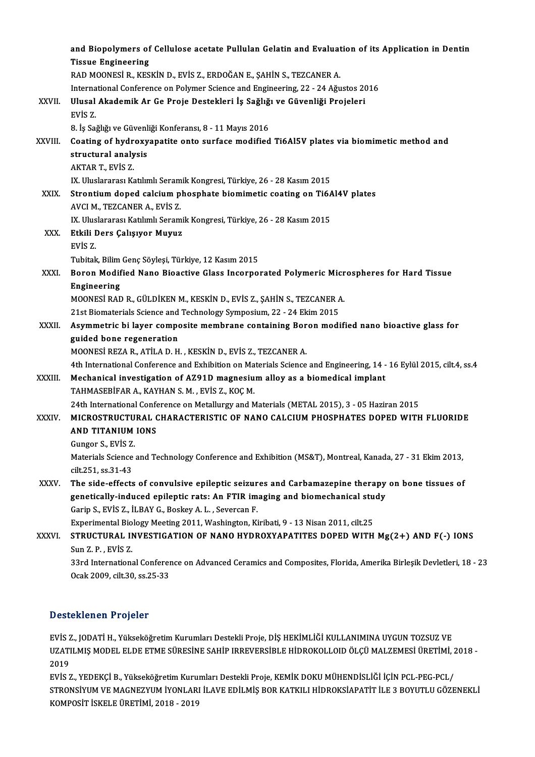|              | and Biopolymers of Cellulose acetate Pullulan Gelatin and Evaluation of its Application in Dentin                  |
|--------------|--------------------------------------------------------------------------------------------------------------------|
|              | <b>Tissue Engineering</b>                                                                                          |
|              | RAD MOONESİ R., KESKİN D., EVİS Z., ERDOĞAN E., ŞAHİN S., TEZCANER A.                                              |
|              | International Conference on Polymer Science and Engineering, 22 - 24 Ağustos 2016                                  |
| XXVII.       | Ulusal Akademik Ar Ge Proje Destekleri İş Sağlığı ve Güvenliği Projeleri                                           |
|              | EVIS Z.                                                                                                            |
|              | 8. İş Sağlığı ve Güvenliği Konferansı, 8 - 11 Mayıs 2016                                                           |
| XXVIII.      | Coating of hydroxyapatite onto surface modified Ti6Al5V plates via biomimetic method and                           |
|              | structural analysis                                                                                                |
|              | AKTAR T., EVİS Z.                                                                                                  |
|              | IX. Uluslararası Katılımlı Seramik Kongresi, Türkiye, 26 - 28 Kasım 2015                                           |
| XXIX.        | Strontium doped calcium phosphate biomimetic coating on Ti6Al4V plates                                             |
|              | AVCI M., TEZCANER A., EVIS Z.                                                                                      |
|              | IX. Uluslararası Katılımlı Seramik Kongresi, Türkiye, 26 - 28 Kasım 2015                                           |
| XXX.         | Etkili Ders Çalışıyor Muyuz                                                                                        |
|              | EVİS Z                                                                                                             |
|              | Tubitak, Bilim Genç Söyleşi, Türkiye, 12 Kasım 2015                                                                |
| XXXI.        | Boron Modified Nano Bioactive Glass Incorporated Polymeric Microspheres for Hard Tissue                            |
|              | <b>Engineering</b>                                                                                                 |
|              | MOONESİ RAD R., GÜLDİKEN M., KESKİN D., EVİS Z., ŞAHİN S., TEZCANER A.                                             |
|              | 21st Biomaterials Science and Technology Symposium, 22 - 24 Ekim 2015                                              |
| XXXII.       | Asymmetric bi layer composite membrane containing Boron modified nano bioactive glass for                          |
|              | guided bone regeneration                                                                                           |
|              | MOONESI REZA R., ATILA D. H., KESKIN D., EVIS Z., TEZCANER A.                                                      |
|              | 4th International Conference and Exhibition on Materials Science and Engineering, 14 - 16 Eylül 2015, cilt.4, ss.4 |
| XXXIII.      | Mechanical investigation of AZ91D magnesium alloy as a biomedical implant                                          |
|              | TAHMASEBİFAR A., KAYHAN S. M., EVİS Z., KOÇ M.                                                                     |
|              | 24th International Conference on Metallurgy and Materials (METAL 2015), 3 - 05 Haziran 2015                        |
| <b>XXXIV</b> | MICROSTRUCTURAL CHARACTERISTIC OF NANO CALCIUM PHOSPHATES DOPED WITH FLUORIDE                                      |
|              | AND TITANIUM IONS                                                                                                  |
|              | Gungor S, EVIS Z                                                                                                   |
|              | Materials Science and Technology Conference and Exhibition (MS&T), Montreal, Kanada, 27 - 31 Ekim 2013,            |
|              | cilt 251, ss.31-43                                                                                                 |
| XXXV.        | The side-effects of convulsive epileptic seizures and Carbamazepine therapy on bone tissues of                     |
|              | genetically-induced epileptic rats: An FTIR imaging and biomechanical study                                        |
|              | Garip S., EVIS Z., İLBAY G., Boskey A. L., Severcan F.                                                             |
|              | Experimental Biology Meeting 2011, Washington, Kiribati, 9 - 13 Nisan 2011, cilt.25                                |
| XXXVI.       | STRUCTURAL INVESTIGATION OF NANO HYDROXYAPATITES DOPED WITH Mg(2+) AND F(-) IONS                                   |
|              | Sun Z P , EVIS Z                                                                                                   |
|              | 33rd International Conference on Advanced Ceramics and Composites, Florida, Amerika Birleşik Devletleri, 18 - 23   |
|              | Ocak 2009, cilt 30, ss 25-33                                                                                       |
|              |                                                                                                                    |

## Desteklenen Projeler

EVİS Z., JODATİ H., Yükseköğretim Kurumları Destekli Proje, DİŞ HEKİMLİĞİ KULLANIMINA UYGUN TOZSUZ VE D'estentenen 7 tejeler<br>EVİS Z., JODATİ H., Yükseköğretim Kurumları Destekli Proje, DİŞ HEKİMLİĞİ KULLANIMINA UYGUN TOZSUZ VE<br>UZATILMIŞ MODEL ELDE ETME SÜRESİNE SAHİP IRREVERSİBLE HİDROKOLLOID ÖLÇÜ MALZEMESİ ÜRETİMİ, 2018 -EVIS <mark>Z</mark><br>UZATI<br>2019<br>EVIS 7 UZATILMIŞ MODEL ELDE ETME SÜRESİNE SAHİP IRREVERSİBLE HİDROKOLLOID ÖLÇÜ MALZEMESİ ÜRETİMİ, 2<br>2019<br>EVİS Z., YEDEKÇİ B., Yükseköğretim Kurumları Destekli Proje, KEMİK DOKU MÜHENDİSLİĞİ İÇİN PCL-PEG-PCL/<br>STRONSİYUM VE MACNEZY

2019<br>EVİS Z., YEDEKÇİ B., Yükseköğretim Kurumları Destekli Proje, KEMİK DOKU MÜHENDİSLİĞİ İÇİN PCL-PEG-PCL/<br>STRONSİYUM VE MAGNEZYUM İYONLARI İLAVE EDİLMİŞ BOR KATKILI HİDROKSİAPATİT İLE 3 BOYUTLU GÖZENEKLİ<br>KOMPOSİT İSKELE EVİS Z., YEDEKÇİ B., Yükseköğretim Kuru<br>STRONSİYUM VE MAGNEZYUM İYONLARI<br>KOMPOSİT İSKELE ÜRETİMİ, 2018 - 2019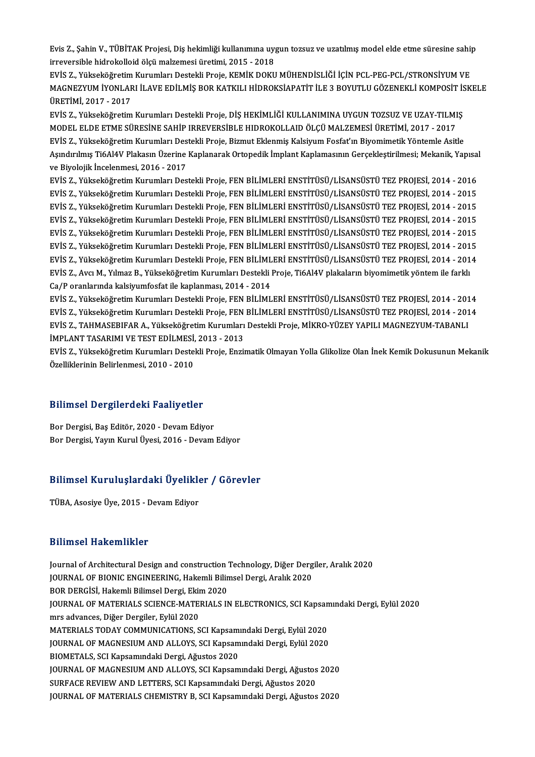Evis Z., Şahin V., TÜBİTAK Projesi, Diş hekimliği kullanımına uygun tozsuz ve uzatılmış model elde etme süresine sahip<br>İmeyarajble hidrokalleid ölgü malzamesi üretimi, 2015 - 2019 Evis Z., Şahin V., TÜBİTAK Projesi, Diş hekimliği kullanımına uy<sub>l</sub><br>irreversible hidrokolloid ölçü malzemesi üretimi, 2015 - 2018<br>Evis 7. Yülseköğretim Kunumları Destakli Proje KEMİK DOKU Evis Z., Şahin V., TÜBİTAK Projesi, Diş hekimliği kullanımına uygun tozsuz ve uzatılmış model elde etme süresine sahij<br>irreversible hidrokolloid ölçü malzemesi üretimi, 2015 - 2018<br>EVİS Z., Yükseköğretim Kurumları Destekli

irreversible hidrokolloid ölçü malzemesi üretimi, 2015 - 2018<br>EVİS Z., Yükseköğretim Kurumları Destekli Proje, KEMİK DOKU MÜHENDİSLİĞİ İÇİN PCL-PEG-PCL/STRONSİYUM VE<br>MAGNEZYUM İYONLARI İLAVE EDİLMİŞ BOR KATKILI HİDROKSİAPA EVİS Z., Yükseköğretim Kurumları Destekli Proje, KEMİK DOKU MÜHENDİSLİĞİ İÇİN PCL-PEG-PCL/STRONSİYUM VE

EVİS Z., Yükseköğretim Kurumları Destekli Proje, DİŞ HEKİMLİĞİ KULLANIMINA UYGUN TOZSUZ VE UZAY-TILMIŞ ÜRETİMİ, 2017 - 2017<br>EVİS Z., Yükseköğretim Kurumları Destekli Proje, DİŞ HEKİMLİĞİ KULLANIMINA UYGUN TOZSUZ VE UZAY-TILMI<br>MODEL ELDE ETME SÜRESİNE SAHİP IRREVERSİBLE HIDROKOLLAID ÖLÇÜ MALZEMESİ ÜRETİMİ, 2017 - 2017<br>EVİS 7 EVİS Z., Yükseköğretim Kurumları Destekli Proje, DİŞ HEKİMLİĞİ KULLANIMINA UYGUN TOZSUZ VE UZAY-TILMIŞ<br>MODEL ELDE ETME SÜRESİNE SAHİP IRREVERSİBLE HIDROKOLLAID ÖLÇÜ MALZEMESİ ÜRETİMİ, 2017 - 2017<br>EVİS Z., Yükseköğretim Kur MODEL ELDE ETME SÜRESİNE SAHİP IRREVERSİBLE HIDROKOLLAID ÖLÇÜ MALZEMESİ ÜRETİMİ, 2017 - 2017<br>EVİS Z., Yükseköğretim Kurumları Destekli Proje, Bizmut Eklenmiş Kalsiyum Fosfat'ın Biyomimetik Yöntemle Asitle<br>Aşındırılmış Ti6A EVİS Z., Yükseköğretim Kurumları Destekli Proje, Bizmut Eklenmiş Kalsiyum Fosfat'ın Biyomimetik Yöntemle Asitle<br>Aşındırılmış Ti6Al4V Plakasın Üzerine Kaplanarak Ortopedik İmplant Kaplamasının Gerçekleştirilmesi; Mekanik, Y Aşındırılmış Ti6Al4V Plakasın Üzerine Kaplanarak Ortopedik İmplant Kaplamasının Gerçekleştirilmesi; Mekanik, Yapısa<br>ve Biyolojik İncelenmesi, 2016 - 2017<br>EVİS Z., Yükseköğretim Kurumları Destekli Proje, FEN BİLİMLERİ ENSTİ

ve Biyolojik İncelenmesi, 2016 - 2017<br>EVİS Z., Yükseköğretim Kurumları Destekli Proje, FEN BİLİMLERİ ENSTİTÜSÜ/LİSANSÜSTÜ TEZ PROJESİ, 2014 - 2016<br>EVİS Z., Yükseköğretim Kurumları Destekli Proje, FEN BİLİMLERİ ENSTİTÜSÜ/Lİ EVİS Z., Yükseköğretim Kurumları Destekli Proje, FEN BİLİMLERİ ENSTİTÜSÜ/LİSANSÜSTÜ TEZ PROJESİ, 2014 - 2016<br>EVİS Z., Yükseköğretim Kurumları Destekli Proje, FEN BİLİMLERİ ENSTİTÜSÜ/LİSANSÜSTÜ TEZ PROJESİ, 2014 - 2015<br>EVİS EVİS Z., Yükseköğretim Kurumları Destekli Proje, FEN BİLİMLERİ ENSTİTÜSÜ/LİSANSÜSTÜ TEZ PROJESİ, 2014 - 2015<br>EVİS Z., Yükseköğretim Kurumları Destekli Proje, FEN BİLİMLERİ ENSTİTÜSÜ/LİSANSÜSTÜ TEZ PROJESİ, 2014 - 2015<br>EVİS EVİS Z.,YükseköğretimKurumlarıDestekliProje,FENBİLİMLERİENSTİTÜSÜ/LİSANSÜSTÜTEZ PROJESİ,2014 -2015 EVİS Z., Yükseköğretim Kurumları Destekli Proje, FEN BİLİMLERİ ENSTİTÜSÜ/LİSANSÜSTÜ TEZ PROJESİ, 2014 - 2015<br>EVİS Z., Yükseköğretim Kurumları Destekli Proje, FEN BİLİMLERİ ENSTİTÜSÜ/LİSANSÜSTÜ TEZ PROJESİ, 2014 - 2015<br>EVİS EVİS Z., Yükseköğretim Kurumları Destekli Proje, FEN BİLİMLERİ ENSTİTÜSÜ/LİSANSÜSTÜ TEZ PROJESİ, 2014 - 2015<br>EVİS Z., Yükseköğretim Kurumları Destekli Proje, FEN BİLİMLERİ ENSTİTÜSÜ/LİSANSÜSTÜ TEZ PROJESİ, 2014 - 2015<br>EVİS EVİS Z., Yükseköğretim Kurumları Destekli Proje, FEN BİLİMLERİ ENSTİTÜSÜ/LİSANSÜSTÜ TEZ PROJESİ, 2014 - 201<br>EVİS Z., Yükseköğretim Kurumları Destekli Proje, FEN BİLİMLERİ ENSTİTÜSÜ/LİSANSÜSTÜ TEZ PROJESİ, 2014 - 201<br>EVİS Z EVİS Z., Yükseköğretim Kurumları Destekli Proje, FEN BİLİMLERİ ENSTİTÜSÜ/LİSANSÜSTÜ TEZ PROJESİ, 2014 - 2014<br>EVİS Z., Avcı M., Yılmaz B., Yükseköğretim Kurumları Destekli Proje, Ti6Al4V plakaların biyomimetik yöntem ile fa EVİS Z., Avcı M., Yılmaz B., Yükseköğretim Kurumları Destekli Proje, Ti6Al4V plakaların biyomimetik yöntem ile farklı<br>Ca/P oranlarında kalsiyumfosfat ile kaplanması, 2014 - 2014<br>EVİS Z., Yükseköğretim Kurumları Destekli Pr

Ca/P oranlarında kalsiyumfosfat ile kaplanması, 2014 - 2014<br>EVİS Z., Yükseköğretim Kurumları Destekli Proje, FEN BİLİMLERİ ENSTİTÜSÜ/LİSANSÜSTÜ TEZ PROJESİ, 2014 - 2014<br>EVİS Z., Yükseköğretim Kurumları Destekli Proje, FEN EVİS Z., Yükseköğretim Kurumları Destekli Proje, FEN BİLİMLERİ ENSTİTÜSÜ/LİSANSÜSTÜ TEZ PROJESİ, 2014 - 201<br>EVİS Z., Yükseköğretim Kurumları Destekli Proje, FEN BİLİMLERİ ENSTİTÜSÜ/LİSANSÜSTÜ TEZ PROJESİ, 2014 - 201<br>EVİS Z EVİS Z., Yükseköğretim Kurumları Destekli Proje, FEN BİLİMLERİ ENSTİTÜSÜ/LİSANSÜSTÜ TEZ PROJESİ, 2014 - 2014<br>EVİS Z., TAHMASEBIFAR A., Yükseköğretim Kurumları Destekli Proje, MİKRO-YÜZEY YAPILI MAGNEZYUM-TABANLI<br>İMPLANT TA EVİS Z., TAHMASEBIFAR A., Yükseköğretim Kurumları Destekli Proje, MİKRO-YÜZEY YAPILI MAGNEZYUM-TABANLI<br>İMPLANT TASARIMI VE TEST EDİLMESİ, 2013 - 2013<br>EVİS Z., Yükseköğretim Kurumları Destekli Proje, Enzimatik Olmayan Yolla

İMPLANT TASARIMI VE TEST EDİLMESİ,<br>EVİS Z., Yükseköğretim Kurumları Deste<br>Özelliklerinin Belirlenmesi, 2010 - 2010

# ozemkierinin Benrienmesi, 2010 - 2010<br>Bilimsel Dergilerdeki Faaliyetler

Bilimsel Dergilerdeki Faaliyetler<br>Bor Dergisi, Baş Editör, 2020 - Devam Ediyor<br>Bor Dergisi, Yayın Kurul İlvesi, 2016 - Dayam Bor Dergisi, Baş Editör, 2020 - Devam Ediyor<br>Bor Dergisi, Yayın Kurul Üyesi, 2016 - Devam Ediyor

# Bor bergisi, rayın Kurul oyesi, 2016 - bevam Ediyor<br>Bilimsel Kuruluşlardaki Üyelikler / Görevler Bilimsel Kuruluşlardaki Üyelikle<br>TÜBA, Asosiye Üye, 2015 - Devam Ediyor

TÜBA, Asosiye Üye, 2015 - Devam Ediyor<br>Bilimsel Hakemlikler

Bilimsel Hakemlikler<br>Journal of Architectural Design and construction Technology, Diğer Dergiler, Aralık 2020<br>JOURNAL OF RIONIC ENCINEERING, Hakamli Bilimaal Dargi, Aralık 2020 D'ATANOUT TRANDATATION<br>Journal of Architectural Design and construction Technology, Diğer Derg<br>JOURNAL OF BIONIC ENGINEERING, Hakemli Bilimsel Dergi, Aralık 2020<br>ROP DERÇİSİ, Hakemli Bilimsel Dergi, Flrim 2020 Journal of Architectural Design and construction<br>JOURNAL OF BIONIC ENGINEERING, Hakemli Bilin<br>BOR DERGİSİ, Hakemli Bilimsel Dergi, Ekim 2020<br>JOURNAL OF MATERIALS SCIENCE MATERIALS IN JOURNAL OF BIONIC ENGINEERING, Hakemli Bilimsel Dergi, Aralık 2020<br>BOR DERGİSİ, Hakemli Bilimsel Dergi, Ekim 2020<br>JOURNAL OF MATERIALS SCIENCE-MATERIALS IN ELECTRONICS, SCI Kapsamındaki Dergi, Eylül 2020<br>mrs advances, Diğe BOR DERGİSİ, Hakemli Bilimsel Dergi, Ekir<br>JOURNAL OF MATERIALS SCIENCE-MATE<br>mrs advances, Diğer Dergiler, Eylül 2020<br>MATERIALS TODAY COMMUNICATIONS JOURNAL OF MATERIALS SCIENCE-MATERIALS IN ELECTRONICS, SCI Kapsan<br>mrs advances, Diğer Dergiler, Eylül 2020<br>MATERIALS TODAY COMMUNICATIONS, SCI Kapsamındaki Dergi, Eylül 2020<br>JOURNAL OF MACNESUJM AND ALLOVS, SCI Kapsamındak mrs advances, Diğer Dergiler, Eylül 2020<br>MATERIALS TODAY COMMUNICATIONS, SCI Kapsamındaki Dergi, Eylül 2020<br>JOURNAL OF MAGNESIUM AND ALLOYS, SCI Kapsamındaki Dergi, Eylül 2020<br>PIOMETALS, SCI Kansamındaki Dergi, Ağustes 202 MATERIALS TODAY COMMUNICATIONS, SCI Kapsamı<br>JOURNAL OF MAGNESIUM AND ALLOYS, SCI Kapsam<br>BIOMETALS, SCI Kapsamındaki Dergi, Ağustos 2020<br>JOURNAL OF MAGNESIUM AND ALLOYS, SCI Kapsam JOURNAL OF MAGNESIUM AND ALLOYS, SCI Kapsamındaki Dergi, Eylül 2020<br>BIOMETALS, SCI Kapsamındaki Dergi, Ağustos 2020<br>JOURNAL OF MAGNESIUM AND ALLOYS, SCI Kapsamındaki Dergi, Ağustos 2020<br>SUREACE REVIEW AND I ETTERS, SCI Kap BIOMETALS, SCI Kapsamındaki Dergi, Ağustos 2020<br>JOURNAL OF MAGNESIUM AND ALLOYS, SCI Kapsamındaki Dergi, Ağustos 2020<br>SURFACE REVIEW AND LETTERS, SCI Kapsamındaki Dergi, Ağustos 2020 JOURNAL OF MATERIALS CHEMISTRY B, SCI Kapsamındaki Dergi, Ağustos 2020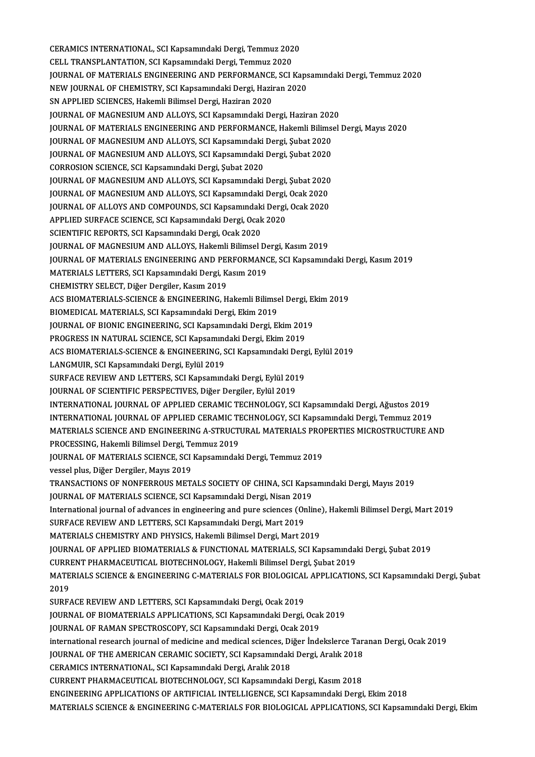CERAMICS INTERNATIONAL, SCI Kapsamındaki Dergi, Temmuz 2020<br>CELL TRANSPLANTATION, SCI Kapsamındaki Dergi, Temmuz 2020 CERAMICS INTERNATIONAL, SCI Kapsamındaki Dergi, Temmuz 202<br>CELL TRANSPLANTATION, SCI Kapsamındaki Dergi, Temmuz 2020<br>JOURNAL OF MATERIALS ENCINEERING AND REREORMANGE SCLI CERAMICS INTERNATIONAL, SCI Kapsamındaki Dergi, Temmuz 2020<br>CELL TRANSPLANTATION, SCI Kapsamındaki Dergi, Temmuz 2020<br>JOURNAL OF MATERIALS ENGINEERING AND PERFORMANCE, SCI Kapsamındaki Dergi, Temmuz 2020<br>NEW JOURNAL OF CHE CELL TRANSPLANTATION, SCI Kapsamındaki Dergi, Temmuz 2020<br>JOURNAL OF MATERIALS ENGINEERING AND PERFORMANCE, SCI Kaps<br>NEW JOURNAL OF CHEMISTRY, SCI Kapsamındaki Dergi, Haziran 2020<br>SN APPLIED SCIENCES, Halamli Bilimaal Darg JOURNAL OF MATERIALS ENGINEERING AND PERFORMANCE<br>NEW JOURNAL OF CHEMISTRY, SCI Kapsamındaki Dergi, Hazir<br>SN APPLIED SCIENCES, Hakemli Bilimsel Dergi, Haziran 2020<br>JOURNAL OF MACNESUJM AND ALLOYS SCI Kansamındaki De NEW JOURNAL OF CHEMISTRY, SCI Kapsamındaki Dergi, Haziran 2020<br>SN APPLIED SCIENCES, Hakemli Bilimsel Dergi, Haziran 2020<br>JOURNAL OF MATEPIALS ENCINEEPINC AND BEREOPMANCE Hakemli Bilimsel<br>JOURNAL OF MATEPIALS ENCINEEPINC AN SN APPLIED SCIENCES, Hakemli Bilimsel Dergi, Haziran 2020<br>JOURNAL OF MAGNESIUM AND ALLOYS, SCI Kapsamındaki Dergi, Haziran 2020<br>JOURNAL OF MACNESIUM AND ALLOYS, SCI Kapsamındaki Dergi, Subat 2020<br>JOURNAL OF MACNESIUM AND A JOURNAL OF MAGNESIUM AND ALLOYS, SCI Kapsamındaki Dergi, Haziran 202<br>JOURNAL OF MATERIALS ENGINEERING AND PERFORMANCE, Hakemli Bilims<br>JOURNAL OF MAGNESIUM AND ALLOYS, SCI Kapsamındaki Dergi, Şubat 2020<br>JOURNAL OF MAGNESIUM JOURNAL OF MATERIALS ENGINEERING AND PERFORMANCE, Hakemli Bilims<br>JOURNAL OF MAGNESIUM AND ALLOYS, SCI Kapsamındaki Dergi, Şubat 2020<br>JOURNAL OF MAGNESIUM AND ALLOYS, SCI Kapsamındaki Dergi, Şubat 2020<br>COPPOSION SCIENCE, SC JOURNAL OF MAGNESIUM AND ALLOYS, SCI Kapsamındaki<br>JOURNAL OF MAGNESIUM AND ALLOYS, SCI Kapsamındaki<br>CORROSION SCIENCE, SCI Kapsamındaki Dergi, Şubat 2020<br>JOURNAL OF MAGNESIUM AND ALLOYS, SCI Kapsamındaki JOURNAL OF MAGNESIUM AND ALLOYS, SCI Kapsamındaki Dergi, Şubat 2020<br>CORROSION SCIENCE, SCI Kapsamındaki Dergi, Şubat 2020<br>JOURNAL OF MAGNESIUM AND ALLOYS, SCI Kapsamındaki Dergi, Şubat 2020<br>JOURNAL OF MAGNESIUM AND ALLOYS, CORROSION SCIENCE, SCI Kapsamındaki Dergi, Şubat 2020<br>JOURNAL OF MAGNESIUM AND ALLOYS, SCI Kapsamındaki Dergi, Şubat 2020<br>JOURNAL OF ALLOYS AND COMPOUNDS, SCI Kapsamındaki Dergi, Ocak 2020<br>JOURNAL OF ALLOYS AND COMPOUNDS, JOURNAL OF MAGNESIUM AND ALLOYS, SCI Kapsamındaki Dergi, Şubat 2020<br>JOURNAL OF MAGNESIUM AND ALLOYS, SCI Kapsamındaki Dergi, Ocak 2020<br>JOURNAL OF ALLOYS AND COMPOUNDS, SCI Kapsamındaki Dergi, Ocak 2020<br>APPLIED SUPEACE SCIE JOURNAL OF MAGNESIUM AND ALLOYS, SCI Kapsamındaki Dergi,<br>JOURNAL OF ALLOYS AND COMPOUNDS, SCI Kapsamındaki Dergi,<br>APPLIED SURFACE SCIENCE, SCI Kapsamındaki Dergi, Ocak 2020<br>SCIENTIEIC PEROPTS, SCI Kapsamındaki Dergi, Ocak JOURNAL OF ALLOYS AND COMPOUNDS, SCI Kapsamındak<br>APPLIED SURFACE SCIENCE, SCI Kapsamındaki Dergi, Ocak<br>SCIENTIFIC REPORTS, SCI Kapsamındaki Dergi, Ocak 2020<br>JOUPNAL OE MACNESUJM AND ALLOYS, Hakamli Bilimsal I SCIENTIFIC REPORTS, SCI Kapsamındaki Dergi, Ocak 2020<br>JOURNAL OF MAGNESIUM AND ALLOYS, Hakemli Bilimsel Dergi, Kasım 2019 SCIENTIFIC REPORTS, SCI Kapsamındaki Dergi, Ocak 2020<br>JOURNAL OF MAGNESIUM AND ALLOYS, Hakemli Bilimsel Dergi, Kasım 2019<br>JOURNAL OF MATERIALS ENGINEERING AND PERFORMANCE, SCI Kapsamındaki Dergi, Kasım 2019<br>MATERIALS I ETT JOURNAL OF MAGNESIUM AND ALLOYS, Hakemli Bilimsel De<br>JOURNAL OF MATERIALS ENGINEERING AND PERFORMANC<br>MATERIALS LETTERS, SCI Kapsamındaki Dergi, Kasım 2019<br>CHEMISTRY SELECT, Dižar Dargilar Kasım 2010 JOURNAL OF MATERIALS ENGINEERING AND PEI<br>MATERIALS LETTERS, SCI Kapsamındaki Dergi, K.<br>CHEMISTRY SELECT, Diğer Dergiler, Kasım 2019<br>ACS PIOMATERIALS SCIENCE & ENCINEERING. H MATERIALS LETTERS, SCI Kapsamındaki Dergi, Kasım 2019<br>CHEMISTRY SELECT, Diğer Dergiler, Kasım 2019<br>ACS BIOMATERIALS-SCIENCE & ENGINEERING, Hakemli Bilimsel Dergi, Ekim 2019<br>BIOMEDICAL MATERIALS-SCI Kapsamındaki Dergi, Ekim CHEMISTRY SELECT, Diğer Dergiler, Kasım 2019<br>ACS BIOMATERIALS-SCIENCE & ENGINEERING, Hakemli Bilimse<br>BIOMEDICAL MATERIALS, SCI Kapsamındaki Dergi, Ekim 2019<br>JOUPNAL OF BIONIC ENCINEERING, SCI Kapsamındaki Dergi, El ACS BIOMATERIALS-SCIENCE & ENGINEERING, Hakemli Bilimsel Dergi, El<br>BIOMEDICAL MATERIALS, SCI Kapsamındaki Dergi, Ekim 2019<br>JOURNAL OF BIONIC ENGINEERING, SCI Kapsamındaki Dergi, Ekim 2019<br>PROCRESS IN NATURAL SCIENCE, SCI K BIOMEDICAL MATERIALS, SCI Kapsamındaki Dergi, Ekim 2019<br>JOURNAL OF BIONIC ENGINEERING, SCI Kapsamındaki Dergi, Ekim 201<br>PROGRESS IN NATURAL SCIENCE, SCI Kapsamındaki Dergi, Ekim 2019<br>ACS PIOMATEPIALS SCIENCE & ENCINEERING, JOURNAL OF BIONIC ENGINEERING, SCI Kapsamındaki Dergi, Ekim 2019<br>PROGRESS IN NATURAL SCIENCE, SCI Kapsamındaki Dergi, Ekim 2019<br>ACS BIOMATERIALS-SCIENCE & ENGINEERING, SCI Kapsamındaki Dergi, Eylül 2019<br>LANCMUIR SCI Kansam PROGRESS IN NATURAL SCIENCE, SCI Kapsamınd<br>ACS BIOMATERIALS-SCIENCE & ENGINEERING, S<br>LANGMUIR, SCI Kapsamındaki Dergi, Eylül 2019<br>SUBEACE BEVIEW AND I ETTEBS, SCI Kansamınd ACS BIOMATERIALS-SCIENCE & ENGINEERING, SCI Kapsamındaki Derg<br>LANGMUIR, SCI Kapsamındaki Dergi, Eylül 2019<br>SURFACE REVIEW AND LETTERS, SCI Kapsamındaki Dergi, Eylül 2019<br>JOUPMAL OE SCIENTIEJC BERSBECTIVES, Diğer Dergiler, LANGMUIR, SCI Kapsamındaki Dergi, Eylül 2019<br>SURFACE REVIEW AND LETTERS, SCI Kapsamındaki Dergi, Eylül 2019<br>JOURNAL OF SCIENTIFIC PERSPECTIVES, Diğer Dergiler, Eylül 2019 INTERNATIONAL JOURNAL OF APPLIED CERAMIC TECHNOLOGY, SCI Kapsamındaki Dergi, Ağustos 2019 JOURNAL OF SCIENTIFIC PERSPECTIVES, Diğer Dergiler, Eylül 2019<br>INTERNATIONAL JOURNAL OF APPLIED CERAMIC TECHNOLOGY, SCI Kapsamındaki Dergi, Ağustos 2019<br>INTERNATIONAL JOURNAL OF APPLIED CERAMIC TECHNOLOGY, SCI Kapsamındaki INTERNATIONAL JOURNAL OF APPLIED CERAMIC TECHNOLOGY, SCI Kapsamındaki Dergi, Ağustos 2019<br>INTERNATIONAL JOURNAL OF APPLIED CERAMIC TECHNOLOGY, SCI Kapsamındaki Dergi, Temmuz 2019<br>MATERIALS SCIENCE AND ENGINEERING A-STRUCTU INTERNATIONAL JOURNAL OF APPLIED CERAMIC TH<br>MATERIALS SCIENCE AND ENGINEERING A-STRUCT<br>PROCESSING, Hakemli Bilimsel Dergi, Temmuz 2019<br>JOURNAL OF MATERIALS SCIENCE SCLEAREMEDIAL MATERIALS SCIENCE AND ENGINEERING A-STRUCTURAL MATERIALS PRO<br>PROCESSING, Hakemli Bilimsel Dergi, Temmuz 2019<br>JOURNAL OF MATERIALS SCIENCE, SCI Kapsamındaki Dergi, Temmuz 2019<br>Vessel Plus Dižer Dergiler Mayıs 2019 PROCESSING, Hakemli Bilimsel Dergi, Te<br>JOURNAL OF MATERIALS SCIENCE, SCI<br>vessel plus, Diğer Dergiler, Mayıs 2019<br>TPANSACTIONS OF NONEERROUS MET. vessel plus, Diğer Dergiler, Mayıs 2019<br>TRANSACTIONS OF NONFERROUS METALS SOCIETY OF CHINA, SCI Kapsamındaki Dergi, Mayıs 2019 vessel plus, Diğer Dergiler, Mayıs 2019<br>TRANSACTIONS OF NONFERROUS METALS SOCIETY OF CHINA, SCI Kaps.<br>JOURNAL OF MATERIALS SCIENCE, SCI Kapsamındaki Dergi, Nisan 2019<br>International journal of advances in ongineering and nu International journal of advances in engineering and pure sciences (Online), Hakemli Bilimsel Dergi, Mart 2019<br>SURFACE REVIEW AND LETTERS, SCI Kapsamındaki Dergi, Mart 2019 JOURNAL OF MATERIALS SCIENCE, SCI Kapsamındaki Dergi, Nisan 201<br>International journal of advances in engineering and pure sciences (Or<br>SURFACE REVIEW AND LETTERS, SCI Kapsamındaki Dergi, Mart 2019<br>MATERIALS CHEMISTRY AND R International journal of advances in engineering and pure sciences (Online)<br>SURFACE REVIEW AND LETTERS, SCI Kapsamındaki Dergi, Mart 2019<br>MATERIALS CHEMISTRY AND PHYSICS, Hakemli Bilimsel Dergi, Mart 2019<br>JOURNAL OF APPLIE JOURNAL OF APPLIED BIOMATERIALS & FUNCTIONAL MATERIALS, SCI Kapsamındaki Dergi, Şubat 2019<br>CURRENT PHARMACEUTICAL BIOTECHNOLOGY, Hakemli Bilimsel Dergi, Şubat 2019 MATERIALS CHEMISTRY AND PHYSICS, Hakemli Bilimsel Dergi, Mart 2019<br>JOURNAL OF APPLIED BIOMATERIALS & FUNCTIONAL MATERIALS, SCI Kapsamındal<br>CURRENT PHARMACEUTICAL BIOTECHNOLOGY, Hakemli Bilimsel Dergi, Şubat 2019<br>MATERIALS JOURNAL OF APPLIED BIOMATERIALS & FUNCTIONAL MATERIALS, SCI Kapsamındaki Dergi, Şubat 2019<br>CURRENT PHARMACEUTICAL BIOTECHNOLOGY, Hakemli Bilimsel Dergi, Şubat 2019<br>MATERIALS SCIENCE & ENGINEERING C-MATERIALS FOR BIOLOGICAL CURRI<br>MATE<br>2019<br>SUPE MATERIALS SCIENCE & ENGINEERING C-MATERIALS FOR BIOLOGICAL<br>2019<br>SURFACE REVIEW AND LETTERS, SCI Kapsamındaki Dergi, Ocak 2019<br>JOUPMAL OE BIOMATERIALS APRI ICATIONS, SCI Kapsamındaki Dergi 2019<br>SURFACE REVIEW AND LETTERS, SCI Kapsamındaki Dergi, Ocak 2019<br>JOURNAL OF BIOMATERIALS APPLICATIONS, SCI Kapsamındaki Dergi, Ocak 2019<br>JOURNAL OF RAMAN SPECTROSCOPY, SCI Kapsamındaki Dergi, Ocak 2019 SURFACE REVIEW AND LETTERS, SCI Kapsamındaki Dergi, Ocak 2019<br>JOURNAL OF BIOMATERIALS APPLICATIONS, SCI Kapsamındaki Dergi, Ocal<br>JOURNAL OF RAMAN SPECTROSCOPY, SCI Kapsamındaki Dergi, Ocak 2019<br>international research journ JOURNAL OF RAMAN SPECTROSCOPY, SCI Kapsamındaki Dergi, Ocak 2019<br>international research journal of medicine and medical sciences, Diğer İndekslerce Taranan Dergi, Ocak 2019 JOURNAL OF RAMAN SPECTROSCOPY, SCI Kapsamındaki Dergi, Ocak 2019<br>international research journal of medicine and medical sciences, Diğer İndekslerce Tara<br>JOURNAL OF THE AMERICAN CERAMIC SOCIETY, SCI Kapsamındaki Dergi, Aral international research journal of medicine and medical sciences, Di<br>JOURNAL OF THE AMERICAN CERAMIC SOCIETY, SCI Kapsamındak<br>CERAMICS INTERNATIONAL, SCI Kapsamındaki Dergi, Aralık 2018<br>CURRENT BHARMACEUTICAL BIOTECHNOLOCY, JOURNAL OF THE AMERICAN CERAMIC SOCIETY, SCI Kapsamındaki Dergi, Aralık 2018<br>CERAMICS INTERNATIONAL, SCI Kapsamındaki Dergi, Aralık 2018<br>CURRENT PHARMACEUTICAL BIOTECHNOLOGY, SCI Kapsamındaki Dergi, Kasım 2018<br>ENCINEEPINC CERAMICS INTERNATIONAL, SCI Kapsamındaki Dergi, Aralık 2018<br>CURRENT PHARMACEUTICAL BIOTECHNOLOGY, SCI Kapsamındaki Dergi, Kasım 2018<br>ENGINEERING APPLICATIONS OF ARTIFICIAL INTELLIGENCE, SCI Kapsamındaki Dergi, Ekim 2018 MATERIALS SCIENCE & ENGINEERING C-MATERIALS FOR BIOLOGICAL APPLICATIONS, SCI Kapsamındaki Dergi, Ekim